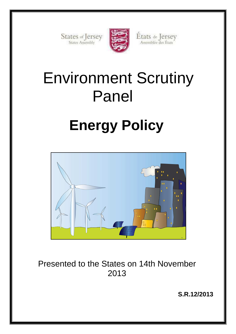States of Jersey



États de Jersey Assemblée des États

# Environment Scrutiny Panel

# **Energy Policy**



Presented to the States on 14th November 2013

**S.R.12/2013**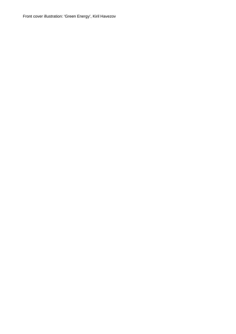Front cover illustration: 'Green Energy', Kiril Havezov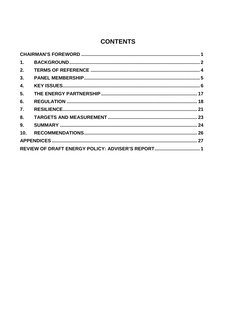# **CONTENTS**

| 1.                                                |  |  |  |  |
|---------------------------------------------------|--|--|--|--|
| 2.                                                |  |  |  |  |
| 3.                                                |  |  |  |  |
| 4.                                                |  |  |  |  |
| 5.                                                |  |  |  |  |
| 6.                                                |  |  |  |  |
| $\overline{7}$ .                                  |  |  |  |  |
| 8.                                                |  |  |  |  |
| 9.                                                |  |  |  |  |
| 10 <sub>1</sub>                                   |  |  |  |  |
|                                                   |  |  |  |  |
| REVIEW OF DRAFT ENERGY POLICY: ADVISER'S REPORT 1 |  |  |  |  |
|                                                   |  |  |  |  |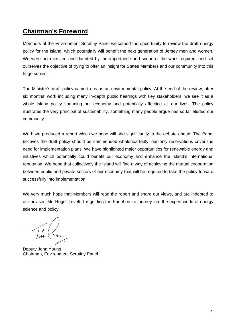# **Chairman's Foreword**

Members of the Environment Scrutiny Panel welcomed the opportunity to review the draft energy policy for the Island, which potentially will benefit the next generation of Jersey men and women. We were both excited and daunted by the importance and scope of the work required, and set ourselves the objective of trying to offer an insight for States Members and our community into this huge subject.

The Minister's draft policy came to us as an environmental policy. At the end of the review, after six months' work including many in-depth public hearings with key stakeholders, we see it as a whole Island policy spanning our economy and potentially affecting all our lives. The policy illustrates the very principal of sustainability, something many people argue has so far eluded our community.

We have produced a report which we hope will add significantly to the debate ahead. The Panel believes the draft policy should be commended wholeheartedly; our only reservations cover the need for implementation plans. We have highlighted major opportunities for renewable energy and initiatives which potentially could benefit our economy and enhance the Island's international reputation. We hope that collectively the Island will find a way of achieving the mutual cooperation between public and private sectors of our economy that will be required to take the policy forward successfully into implementation.

We very much hope that Members will read the report and share our views, and are indebted to our adviser, Mr. Roger Levett, for guiding the Panel on its journey into the expert world of energy science and policy.

In Carrie

Deputy John Young Chairman, Environment Scrutiny Panel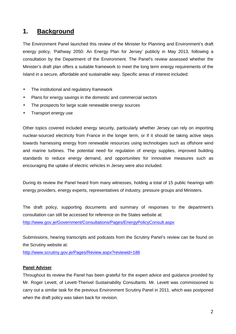# **1. Background**

The Environment Panel launched this review of the Minister for Planning and Environment's draft energy policy, 'Pathway 2050: An Energy Plan for Jersey' publicly in May 2013, following a consultation by the Department of the Environment. The Panel's review assessed whether the Minister's draft plan offers a suitable framework to meet the long term energy requirements of the Island in a secure, affordable and sustainable way. Specific areas of interest included:

- The institutional and regulatory framework
- Plans for energy savings in the domestic and commercial sectors
- The prospects for large scale renewable energy sources
- Transport energy use

Other topics covered included energy security, particularly whether Jersey can rely on importing nuclear-sourced electricity from France in the longer term, or if it should be taking active steps towards harnessing energy from renewable resources using technologies such as offshore wind and marine turbines. The potential need for regulation of energy supplies, improved building standards to reduce energy demand, and opportunities for innovative measures such as encouraging the uptake of electric vehicles in Jersey were also included.

During its review the Panel heard from many witnesses, holding a total of 15 public hearings with energy providers, energy experts, representatives of industry, pressure groups and Ministers.

The draft policy, supporting documents and summary of responses to the department's consultation can still be accessed for reference on the States website at: http://www.gov.je/Government/Consultations/Pages/EnergyPolicyConsult.aspx

Submissions, hearing transcripts and podcasts from the Scrutiny Panel's review can be found on the Scrutiny website at:

http://www.scrutiny.gov.je/Pages/Review.aspx?reviewid=186

#### **Panel Adviser**

Throughout its review the Panel has been grateful for the expert advice and guidance provided by Mr. Roger Levett, of Levett-Therivel Sustainability Consultants. Mr. Levett was commissioned to carry out a similar task for the previous Environment Scrutiny Panel in 2011, which was postponed when the draft policy was taken back for revision.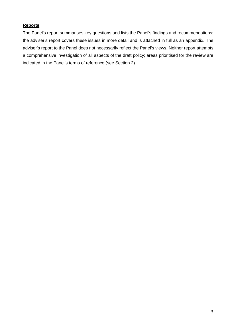#### **Reports**

The Panel's report summarises key questions and lists the Panel's findings and recommendations; the adviser's report covers these issues in more detail and is attached in full as an appendix. The adviser's report to the Panel does not necessarily reflect the Panel's views. Neither report attempts a comprehensive investigation of all aspects of the draft policy; areas prioritised for the review are indicated in the Panel's terms of reference (see Section 2).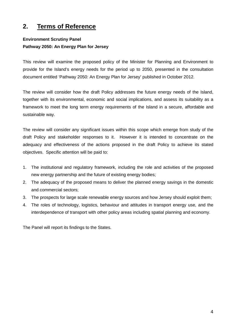# **2. Terms of Reference**

### **Environment Scrutiny Panel Pathway 2050: An Energy Plan for Jersey**

This review will examine the proposed policy of the Minister for Planning and Environment to provide for the Island's energy needs for the period up to 2050, presented in the consultation document entitled 'Pathway 2050: An Energy Plan for Jersey' published in October 2012.

The review will consider how the draft Policy addresses the future energy needs of the Island, together with its environmental, economic and social implications, and assess its suitability as a framework to meet the long term energy requirements of the Island in a secure, affordable and sustainable way.

The review will consider any significant issues within this scope which emerge from study of the draft Policy and stakeholder responses to it. However it is intended to concentrate on the adequacy and effectiveness of the actions proposed in the draft Policy to achieve its stated objectives. Specific attention will be paid to:

- 1. The institutional and regulatory framework, including the role and activities of the proposed new energy partnership and the future of existing energy bodies;
- 2. The adequacy of the proposed means to deliver the planned energy savings in the domestic and commercial sectors;
- 3. The prospects for large scale renewable energy sources and how Jersey should exploit them;
- 4. The roles of technology, logistics, behaviour and attitudes in transport energy use, and the interdependence of transport with other policy areas including spatial planning and economy.

The Panel will report its findings to the States.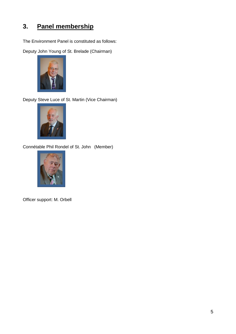# **3. Panel membership**

The Environment Panel is constituted as follows:

Deputy John Young of St. Brelade (Chairman)



Deputy Steve Luce of St. Martin (Vice Chairman)



Connétable Phil Rondel of St. John (Member)



Officer support: M. Orbell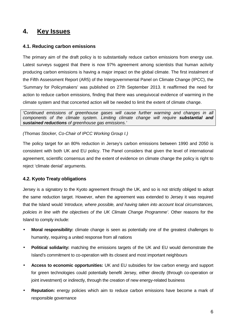# **4. Key Issues**

#### **4.1. Reducing carbon emissions**

The primary aim of the draft policy is to substantially reduce carbon emissions from energy use. Latest surveys suggest that there is now 97% agreement among scientists that human activity producing carbon emissions is having a major impact on the global climate. The first instalment of the Fifth Assessment Report (AR5) of the Intergovernmental Panel on Climate Change (IPCC), the 'Summary for Policymakers' was published on 27th September 2013. It reaffirmed the need for action to reduce carbon emissions, finding that there was unequivocal evidence of warming in the climate system and that concerted action will be needed to limit the extent of climate change.

'Continued emissions of greenhouse gases will cause further warming and changes in all components of the climate system. Limiting climate change will require **substantial and sustained reductions** of greenhouse gas emissions.'

#### (Thomas Stocker, Co-Chair of IPCC Working Group I.)

The policy target for an 80% reduction in Jersey's carbon emissions between 1990 and 2050 is consistent with both UK and EU policy. The Panel considers that given the level of international agreement, scientific consensus and the extent of evidence on climate change the policy is right to reject 'climate denial' arguments.

#### **4.2. Kyoto Treaty obligations**

Jersey is a signatory to the Kyoto agreement through the UK, and so is not strictly obliged to adopt the same reduction target. However, when the agreement was extended to Jersey it was required that the Island would 'introduce, where possible, and having taken into account local circumstances, policies in line with the objectives of the UK Climate Change Programme'. Other reasons for the Island to comply include:

- **Moral responsibility:** climate change is seen as potentially one of the greatest challenges to humanity, requiring a united response from all nations
- **Political solidarity:** matching the emissions targets of the UK and EU would demonstrate the Island's commitment to co-operation with its closest and most important neighbours
- **Access to economic opportunities:** UK and EU subsidies for low carbon energy and support for green technologies could potentially benefit Jersey, either directly (through co-operation or joint investment) or indirectly, through the creation of new energy-related business
- **Reputation:** energy policies which aim to reduce carbon emissions have become a mark of responsible governance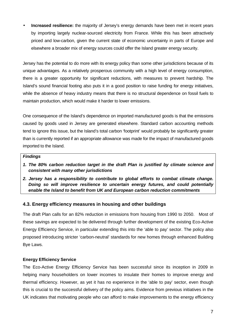• **Increased resilience:** the majority of Jersey's energy demands have been met in recent years by importing largely nuclear-sourced electricity from France. While this has been attractively priced and low-carbon, given the current state of economic uncertainty in parts of Europe and elsewhere a broader mix of energy sources could offer the Island greater energy security.

Jersey has the potential to do more with its energy policy than some other jurisdictions because of its unique advantages. As a relatively prosperous community with a high level of energy consumption, there is a greater opportunity for significant reductions, with measures to prevent hardship. The Island's sound financial footing also puts it in a good position to raise funding for energy initiatives, while the absence of heavy industry means that there is no structural dependence on fossil fuels to maintain production, which would make it harder to lower emissions.

One consequence of the Island's dependence on imported manufactured goods is that the emissions caused by goods used in Jersey are generated elsewhere. Standard carbon accounting methods tend to ignore this issue, but the Island's total carbon 'footprint' would probably be significantly greater than is currently reported if an appropriate allowance was made for the impact of manufactured goods imported to the Island.

#### **Findings**

- **1. The 80% carbon reduction target in the draft Plan is justified by climate science and consistent with many other jurisdictions**
- **2. Jersey has a responsibility to contribute to global efforts to combat climate change. Doing so will improve resilience to uncertain energy futures, and could potentially enable the Island to benefit from UK and European carbon reduction commitments**

#### **4.3. Energy efficiency measures in housing and other buildings**

The draft Plan calls for an 82% reduction in emissions from housing from 1990 to 2050. Most of these savings are expected to be delivered through further development of the existing Eco-Active Energy Efficiency Service, in particular extending this into the 'able to pay' sector. The policy also proposed introducing stricter 'carbon-neutral' standards for new homes through enhanced Building Bye Laws.

#### **Energy Efficiency Service**

The Eco-Active Energy Efficiency Service has been successful since its inception in 2009 in helping many householders on lower incomes to insulate their homes to improve energy and thermal efficiency. However, as yet it has no experience in the 'able to pay' sector, even though this is crucial to the successful delivery of the policy aims. Evidence from previous initiatives in the UK indicates that motivating people who can afford to make improvements to the energy efficiency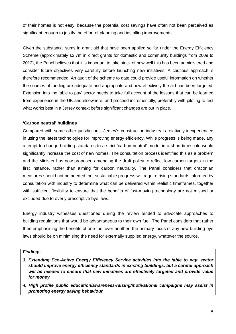of their homes is not easy, because the potential cost savings have often not been perceived as significant enough to justify the effort of planning and installing improvements.

Given the substantial sums in grant aid that have been applied so far under the Energy Efficiency Scheme (approximately £2.7m in direct grants for domestic and community buildings from 2009 to 2012), the Panel believes that it is important to take stock of how well this has been administered and consider future objectives very carefully before launching new initiatives. A cautious approach is therefore recommended. An audit of the scheme to date could provide useful information on whether the sources of funding are adequate and appropriate and how effectively the aid has been targeted. Extension into the 'able to pay' sector needs to take full account of the lessons that can be learned from experience in the UK and elsewhere, and proceed incrementally, preferably with piloting to test what works best in a Jersey context before significant changes are put in place.

#### **'Carbon neutral' buildings**

Compared with some other jurisdictions, Jersey's construction industry is relatively inexperienced in using the latest technologies for improving energy efficiency. While progress is being made, any attempt to change building standards to a strict 'carbon neutral' model in a short timescale would significantly increase the cost of new homes. The consultation process identified this as a problem and the Minister has now proposed amending the draft policy to reflect low carbon targets in the first instance, rather than aiming for carbon neutrality. The Panel considers that draconian measures should not be needed, but sustainable progress will require rising standards informed by consultation with industry to determine what can be delivered within realistic timeframes, together with sufficient flexibility to ensure that the benefits of fast-moving technology are not missed or excluded due to overly prescriptive bye laws.

Energy industry witnesses questioned during the review tended to advocate approaches to building regulations that would be advantageous to their own fuel. The Panel considers that rather than emphasising the benefits of one fuel over another, the primary focus of any new building bye laws should be on minimising the need for externally supplied energy, whatever the source.

#### **Findings**

- **3. Extending Eco-Active Energy Efficiency Service activities into the 'able to pay' sector should improve energy efficiency standards in existing buildings, but a careful approach will be needed to ensure that new initiatives are effectively targeted and provide value for money**
- **4. High profile public education/awareness-raising/motivational campaigns may assist in promoting energy saving behaviour**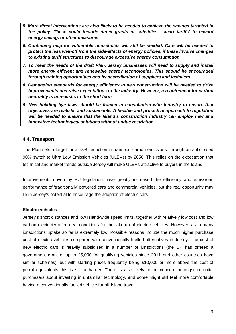- **5. More direct interventions are also likely to be needed to achieve the savings targeted in the policy. These could include direct grants or subsidies, 'smart tariffs' to reward energy saving, or other measures**
- **6. Continuing help for vulnerable households will still be needed. Care will be needed to protect the less well-off from the side-effects of energy policies, if these involve changes to existing tariff structures to discourage excessive energy consumption**
- **7. To meet the needs of the draft Plan, Jersey businesses will need to supply and install more energy efficient and renewable energy technologies. This should be encouraged through training opportunities and by accreditation of suppliers and installers**
- **8. Demanding standards for energy efficiency in new construction will be needed to drive improvements and raise expectations in the industry. However, a requirement for carbon neutrality is unrealistic in the short term**
- **9. New building bye laws should be framed in consultation with industry to ensure that objectives are realistic and sustainable. A flexible and pro-active approach to regulation will be needed to ensure that the Island's construction industry can employ new and innovative technological solutions without undue restriction**

#### **4.4. Transport**

The Plan sets a target for a 78% reduction in transport carbon emissions, through an anticipated 90% switch to Ultra Low Emission Vehicles (ULEVs) by 2050. This relies on the expectation that technical and market trends outside Jersey will make ULEVs attractive to buyers in the Island.

Improvements driven by EU legislation have greatly increased the efficiency and emissions performance of 'traditionally' powered cars and commercial vehicles, but the real opportunity may lie in Jersey's potential to encourage the adoption of electric cars.

#### **Electric vehicles**

Jersey's short distances and low Island-wide speed limits, together with relatively low cost and low carbon electricity offer ideal conditions for the take-up of electric vehicles. However, as in many jurisdictions uptake so far is extremely low. Possible reasons include the much higher purchase cost of electric vehicles compared with conventionally fuelled alternatives in Jersey. The cost of new electric cars is heavily subsidised in a number of jurisdictions (the UK has offered a government grant of up to £5,000 for qualifying vehicles since 2011 and other countries have similar schemes), but with starting prices frequently being £10,000 or more above the cost of petrol equivalents this is still a barrier. There is also likely to be concern amongst potential purchasers about investing in unfamiliar technology, and some might still feel more comfortable having a conventionally fuelled vehicle for off-Island travel.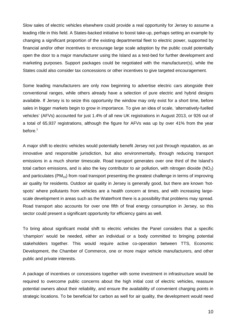Slow sales of electric vehicles elsewhere could provide a real opportunity for Jersey to assume a leading rôle in this field. A States-backed initiative to boost take-up, perhaps setting an example by changing a significant proportion of the existing departmental fleet to electric power, supported by financial and/or other incentives to encourage large scale adoption by the public could potentially open the door to a major manufacturer using the Island as a test-bed for further development and marketing purposes. Support packages could be negotiated with the manufacturer(s), while the States could also consider tax concessions or other incentives to give targeted encouragement.

Some leading manufacturers are only now beginning to advertise electric cars alongside their conventional ranges, while others already have a selection of pure electric and hybrid designs available. If Jersey is to seize this opportunity the window may only exist for a short time, before sales in bigger markets begin to grow in importance. To give an idea of scale, 'alternatively-fuelled vehicles' (AFVs) accounted for just 1.4% of all new UK registrations in August 2013, or 926 out of a total of 65,937 registrations, although the figure for AFVs was up by over 41% from the year before. $^1$ 

A major shift to electric vehicles would potentially benefit Jersey not just through reputation, as an innovative and responsible jurisdiction, but also environmentally, through reducing transport emissions in a much shorter timescale. Road transport generates over one third of the Island's total carbon emissions, and is also the key contributor to air pollution, with nitrogen dioxide (NO<sub>2</sub>) and particulates ( $PM_{10}$ ) from road transport presenting the greatest challenge in terms of improving air quality for residents. Outdoor air quality in Jersey is generally good, but there are known 'hotspots' where pollutants from vehicles are a health concern at times, and with increasing largescale development in areas such as the Waterfront there is a possibility that problems may spread. Road transport also accounts for over one fifth of final energy consumption in Jersey, so this sector could present a significant opportunity for efficiency gains as well.

To bring about significant modal shift to electric vehicles the Panel considers that a specific 'champion' would be needed, either an individual or a body committed to bringing potential stakeholders together. This would require active co-operation between TTS, Economic Development, the Chamber of Commerce, one or more major vehicle manufacturers, and other public and private interests.

A package of incentives or concessions together with some investment in infrastructure would be required to overcome public concerns about the high initial cost of electric vehicles, reassure potential owners about their reliability, and ensure the availability of convenient charging points in strategic locations. To be beneficial for carbon as well for air quality, the development would need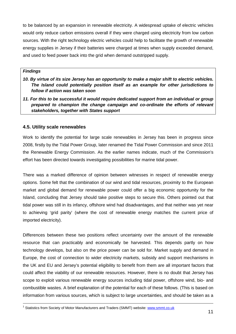to be balanced by an expansion in renewable electricity. A widespread uptake of electric vehicles would only reduce carbon emissions overall if they were charged using electricity from low carbon sources. With the right technology electric vehicles could help to facilitate the growth of renewable energy supplies in Jersey if their batteries were charged at times when supply exceeded demand, and used to feed power back into the grid when demand outstripped supply.

#### **Findings**

- **10. By virtue of its size Jersey has an opportunity to make a major shift to electric vehicles. The Island could potentially position itself as an example for other jurisdictions to follow if action was taken soon**
- **11. For this to be successful it would require dedicated support from an individual or group prepared to champion the change campaign and co-ordinate the efforts of relevant stakeholders, together with States support**

#### **4.5. Utility scale renewables**

Work to identify the potential for large scale renewables in Jersey has been in progress since 2008, firstly by the Tidal Power Group, later renamed the Tidal Power Commission and since 2011 the Renewable Energy Commission. As the earlier names indicate, much of the Commission's effort has been directed towards investigating possibilities for marine tidal power.

There was a marked difference of opinion between witnesses in respect of renewable energy options. Some felt that the combination of our wind and tidal resources, proximity to the European market and global demand for renewable power could offer a big economic opportunity for the Island, concluding that Jersey should take positive steps to secure this. Others pointed out that tidal power was still in its infancy, offshore wind had disadvantages, and that neither was yet near to achieving 'grid parity' (where the cost of renewable energy matches the current price of imported electricity).

Differences between these two positions reflect uncertainty over the amount of the renewable resource that can practicably and economically be harvested. This depends partly on how technology develops, but also on the price power can be sold for. Market supply and demand in Europe, the cost of connection to wider electricity markets, subsidy and support mechanisms in the UK and EU and Jersey's potential eligibility to benefit from them are all important factors that could affect the viability of our renewable resources. However, there is no doubt that Jersey has scope to exploit various renewable energy sources including tidal power, offshore wind, bio- and combustible wastes. A brief explanation of the potential for each of these follows. (This is based on information from various sources, which is subject to large uncertainties, and should be taken as a

 1 Statistics from Society of Motor Manufacturers and Traders (SMMT) website: www.smmt.co.uk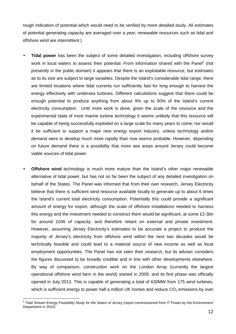rough indication of potential which would need to be verified by more detailed study. All estimates of potential generating capacity are averaged over a year; renewable resources such as tidal and offshore wind are intermittent.)

- **Tidal power** has been the subject of some detailed investigation, including offshore survey work in local waters to assess their potential. From information shared with the Panel<sup>2</sup> (not presently in the public domain) it appears that there is an exploitable resource, but estimates as to its size are subject to large variables. Despite the Island's considerable tidal range, there are limited locations where tidal currents run sufficiently fast for long enough to harvest the energy effectively with undersea turbines. Different calculations suggest that there could be enough potential to produce anything from about 9% up to 50% of the Island's current electricity consumption. Until more work is done, given the scale of the resource and the experimental state of most marine turbine technology it seems unlikely that this resource will be capable of being successfully exploited on a large scale for many years to come; nor would it be sufficient to support a major new energy export industry, unless technology and/or demand were to develop much more rapidly than now seems probable. However, depending on future demand there is a possibility that more sea areas around Jersey could become viable sources of tidal power.
- **Offshore wind** technology is much more mature than the Island's other major renewable alternative of tidal power, but has not so far been the subject of any detailed investigation on behalf of the States. The Panel was informed that from their own research, Jersey Electricity believe that there is sufficient wind resource available locally to generate up to about 6 times the Island's current total electricity consumption. Potentially this could provide a significant amount of energy for export, although the scale of offshore installations needed to harness this energy and the investment needed to construct them would be significant, at some £2-3bn for around 1GW of capacity, and therefore reliant on external and private investment. However, assuming Jersey Electricity's estimates to be accurate a project to produce the majority of Jersey's electricity from offshore wind within the next two decades would be technically feasible and could lead to a material source of new income as well as local employment opportunities. The Panel has not seen their research, but its adviser considers the figures discussed to be broadly credible and in line with other developments elsewhere. By way of comparison, construction work on the London Array (currently the largest operational offshore wind farm in the world) started in 2009, and its first phase was officially opened in July 2013. This is capable of generating a total of 630MW from 175 wind turbines, which is sufficient energy to power half a million UK homes and reduce  $CO<sub>2</sub>$  emissions by over

 2 Tidal Stream Energy Feasibility Study for the States of Jersey (report commissioned from IT Power by the Environment Department in 2010)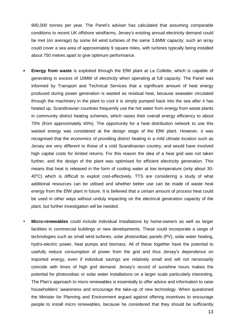900,000 tonnes per year. The Panel's adviser has calculated that assuming comparable conditions to recent UK offshore windfarms, Jersey's existing annual electricity demand could be met (on average) by some 64 wind turbines of the same 3.6MW capacity; such an array could cover a sea area of approximately 9 square miles, with turbines typically being installed about 750 metres apart to give optimum performance.

- **Energy from waste** is exploited through the EfW plant at La Collette, which is capable of generating in excess of 10MW of electricity when operating at full capacity. The Panel was informed by Transport and Technical Services that a significant amount of heat energy produced during power generation is wasted as residual heat, because seawater circulated through the machinery in the plant to cool it is simply pumped back into the sea after it has heated up. Scandinavian countries frequently use the hot water from energy from waste plants in community district heating schemes, which raises their overall energy efficiency to about 70% (from approximately 40%). The opportunity for a heat distribution network to use this wasted energy was considered at the design stage of the EfW plant. However, it was recognised that the economics of providing district heating in a mild climate location such as Jersey are very different to those of a cold Scandinavian country, and would have involved high capital costs for limited returns. For this reason the idea of a heat grid was not taken further, and the design of the plant was optimised for efficient electricity generation. This means that heat is released in the form of cooling water at low temperature (only about 30-  $40^{\circ}$ C) which is difficult to exploit cost-effectively. TTS are considering a study of what additional resources can be utilised and whether better use can be made of waste heat energy from the EfW plant in future. It is believed that a certain amount of process heat could be used in other ways without unduly impacting on the electrical generation capacity of the plant, but further investigation will be needed.
- **Micro-renewables** could include individual installations by home-owners as well as larger facilities in commercial buildings or new developments. These could incorporate a range of technologies such as small wind turbines, solar photovoltaic panels (PV), solar water heating, hydro-electric power, heat pumps and biomass. All of these together have the potential to usefully reduce consumption of power from the grid and thus Jersey's dependence on imported energy, even if individual savings are relatively small and will not necessarily coincide with times of high grid demand. Jersey's record of sunshine hours makes the potential for photovoltaic or solar water installations on a larger scale particularly interesting. The Plan's approach to micro renewables is essentially to offer advice and information to raise householders' awareness and encourage the take-up of new technology. When questioned the Minister for Planning and Environment argued against offering incentives to encourage people to install micro renewables, because he considered that they should be sufficiently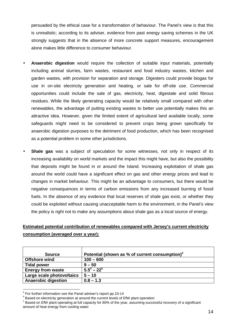persuaded by the ethical case for a transformation of behaviour. The Panel's view is that this is unrealistic; according to its adviser, evidence from past energy saving schemes in the UK strongly suggests that in the absence of more concrete support measures, encouragement alone makes little difference to consumer behaviour.

- **Anaerobic digestion** would require the collection of suitable input materials, potentially including animal slurries, farm wastes, restaurant and food industry wastes, kitchen and garden wastes, with provision for separation and storage. Digesters could provide biogas for use in on-site electricity generation and heating, or sale for off-site use. Commercial opportunities could include the sale of gas, electricity, heat, digestate and solid fibrous residues. While the likely generating capacity would be relatively small compared with other renewables, the advantage of putting existing wastes to better use potentially makes this an attractive idea. However, given the limited extent of agricultural land available locally, some safeguards might need to be considered to prevent crops being grown specifically for anaerobic digestion purposes to the detriment of food production, which has been recognised as a potential problem in some other jurisdictions.
- **Shale gas** was a subject of speculation for some witnesses, not only in respect of its increasing availability on world markets and the impact this might have, but also the possibility that deposits might be found in or around the Island. Increasing exploitation of shale gas around the world could have a significant effect on gas and other energy prices and lead to changes in market behaviour. This might be an advantage to consumers, but there would be negative consequences in terms of carbon emissions from any increased burning of fossil fuels. In the absence of any evidence that local reserves of shale gas exist, or whether they could be exploited without causing unacceptable harm to the environment, in the Panel's view the policy is right not to make any assumptions about shale gas as a local source of energy.

### **Estimated potential contribution of renewables compared with Jersey's current electricity consumption (averaged over a year):**

| <b>Source</b>              | Potential (shown as % of current consumption) <sup>3</sup> |
|----------------------------|------------------------------------------------------------|
| <b>Offshore wind</b>       | $100 - 600$                                                |
| <b>Tidal power</b>         | $9 - 50$                                                   |
| <b>Energy from waste</b>   | $5.5^4 - 22^5$                                             |
| Large scale photovoltaics  | $5 - 10$                                                   |
| <b>Anaerobic digestion</b> | $0.8 - 1.3$                                                |

**EXECUTE:**<br><sup>3</sup> For further information see the Panel adviser's report pp.10-14

<sup>&</sup>lt;sup>4</sup> Based on electricity generation at around the current levels of EfW plant operation

 $<sup>5</sup>$  Based on EfW plant operating at full capacity for 80% of the year, assuming successful recovery of a significant</sup> amount of heat energy from cooling water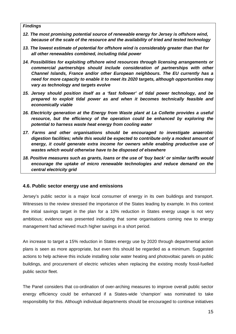#### **Findings**

- **12. The most promising potential source of renewable energy for Jersey is offshore wind, because of the scale of the resource and the availability of tried and tested technology**
- **13. The lowest estimate of potential for offshore wind is considerably greater than that for all other renewables combined, including tidal power**
- **14. Possibilities for exploiting offshore wind resources through licensing arrangements or commercial partnerships should include consideration of partnerships with other Channel Islands, France and/or other European neighbours. The EU currently has a need for more capacity to enable it to meet its 2020 targets, although opportunities may vary as technology and targets evolve**
- **15. Jersey should position itself as a 'fast follower' of tidal power technology, and be prepared to exploit tidal power as and when it becomes technically feasible and economically viable**
- **16. Electricity generation at the Energy from Waste plant at La Collette provides a useful resource, but the efficiency of the operation could be enhanced by exploring the potential to harness waste heat energy from cooling water**
- **17. Farms and other organisations should be encouraged to investigate anaerobic digestion facilities; while this would be expected to contribute only a modest amount of energy, it could generate extra income for owners while enabling productive use of wastes which would otherwise have to be disposed of elsewhere**
- **18. Positive measures such as grants, loans or the use of 'buy back' or similar tariffs would encourage the uptake of micro renewable technologies and reduce demand on the central electricity grid**

#### **4.6. Public sector energy use and emissions**

Jersey's public sector is a major local consumer of energy in its own buildings and transport. Witnesses to the review stressed the importance of the States leading by example. In this context the initial savings target in the plan for a 10% reduction in States energy usage is not very ambitious; evidence was presented indicating that some organisations coming new to energy management had achieved much higher savings in a short period.

An increase to target a 15% reduction in States energy use by 2020 through departmental action plans is seen as more appropriate, but even this should be regarded as a minimum. Suggested actions to help achieve this include installing solar water heating and photovoltaic panels on public buildings, and procurement of electric vehicles when replacing the existing mostly fossil-fuelled public sector fleet.

The Panel considers that co-ordination of over-arching measures to improve overall public sector energy efficiency could be enhanced if a States-wide 'champion' was nominated to take responsibility for this. Although individual departments should be encouraged to continue initiatives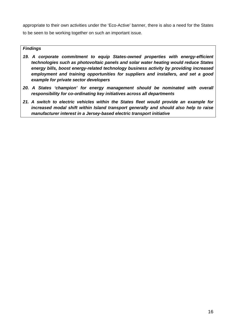appropriate to their own activities under the 'Eco-Active' banner, there is also a need for the States to be seen to be working together on such an important issue.

#### **Findings**

- **19. A corporate commitment to equip States-owned properties with energy-efficient technologies such as photovoltaic panels and solar water heating would reduce States energy bills, boost energy-related technology business activity by providing increased employment and training opportunities for suppliers and installers, and set a good example for private sector developers**
- **20. A States 'champion' for energy management should be nominated with overall responsibility for co-ordinating key initiatives across all departments**
- **21. A switch to electric vehicles within the States fleet would provide an example for increased modal shift within Island transport generally and should also help to raise manufacturer interest in a Jersey-based electric transport initiative**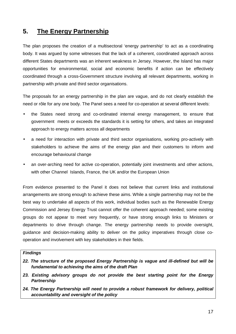# **5. The Energy Partnership**

The plan proposes the creation of a multisectoral 'energy partnership' to act as a coordinating body. It was argued by some witnesses that the lack of a coherent, coordinated approach across different States departments was an inherent weakness in Jersey. However, the Island has major opportunities for environmental, social and economic benefits if action can be effectively coordinated through a cross-Government structure involving all relevant departments, working in partnership with private and third sector organisations.

The proposals for an energy partnership in the plan are vague, and do not clearly establish the need or rôle for any one body. The Panel sees a need for co-operation at several different levels:

- the States need strong and co-ordinated internal energy management, to ensure that government meets or exceeds the standards it is setting for others, and takes an integrated approach to energy matters across all departments
- a need for interaction with private and third sector organisations, working pro-actively with stakeholders to achieve the aims of the energy plan and their customers to inform and encourage behavioural change
- an over-arching need for active co-operation, potentially joint investments and other actions, with other Channel Islands, France, the UK and/or the European Union

From evidence presented to the Panel it does not believe that current links and institutional arrangements are strong enough to achieve these aims. While a single partnership may not be the best way to undertake all aspects of this work, individual bodies such as the Renewable Energy Commission and Jersey Energy Trust cannot offer the coherent approach needed; some existing groups do not appear to meet very frequently, or have strong enough links to Ministers or departments to drive through change. The energy partnership needs to provide oversight, guidance and decision-making ability to deliver on the policy imperatives through close cooperation and involvement with key stakeholders in their fields.

#### **Findings**

- **22. The structure of the proposed Energy Partnership is vague and ill-defined but will be fundamental to achieving the aims of the draft Plan**
- **23. Existing advisory groups do not provide the best starting point for the Energy Partnership**
- **24. The Energy Partnership will need to provide a robust framework for delivery, political accountability and oversight of the policy**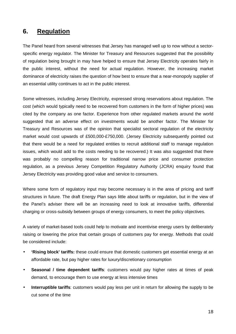## **6. Regulation**

The Panel heard from several witnesses that Jersey has managed well up to now without a sectorspecific energy regulator. The Minister for Treasury and Resources suggested that the possibility of regulation being brought in may have helped to ensure that Jersey Electricity operates fairly in the public interest, without the need for actual regulation. However, the increasing market dominance of electricity raises the question of how best to ensure that a near-monopoly supplier of an essential utility continues to act in the public interest.

Some witnesses, including Jersey Electricity, expressed strong reservations about regulation. The cost (which would typically need to be recovered from customers in the form of higher prices) was cited by the company as one factor. Experience from other regulated markets around the world suggested that an adverse effect on investments would be another factor. The Minister for Treasury and Resources was of the opinion that specialist sectoral regulation of the electricity market would cost upwards of £500,000-£750,000. (Jersey Electricity subsequently pointed out that there would be a need for regulated entities to recruit additional staff to manage regulation issues, which would add to the costs needing to be recovered.) It was also suggested that there was probably no compelling reason for traditional narrow price and consumer protection regulation, as a previous Jersey Competition Regulatory Authority (JCRA) enquiry found that Jersey Electricity was providing good value and service to consumers.

Where some form of regulatory input may become necessary is in the area of pricing and tariff structures in future. The draft Energy Plan says little about tariffs or regulation, but in the view of the Panel's adviser there will be an increasing need to look at innovative tariffs, differential charging or cross-subsidy between groups of energy consumers, to meet the policy objectives.

A variety of market-based tools could help to motivate and incentivise energy users by deliberately raising or lowering the price that certain groups of customers pay for energy. Methods that could be considered include:

- **'Rising block' tariffs:** these could ensure that domestic customers get essential energy at an affordable rate, but pay higher rates for luxury/discretionary consumption
- **Seasonal / time dependent tariffs**: customers would pay higher rates at times of peak demand, to encourage them to use energy at less intensive times
- **Interruptible tariffs**: customers would pay less per unit in return for allowing the supply to be cut some of the time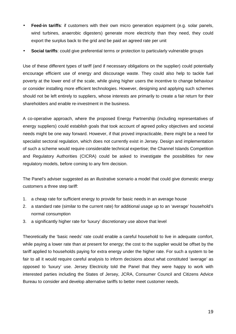- **Feed-in tariffs**: if customers with their own micro generation equipment (e.g. solar panels, wind turbines, anaerobic digesters) generate more electricity than they need, they could export the surplus back to the grid and be paid an agreed rate per unit
- **Social tariffs**: could give preferential terms or protection to particularly vulnerable groups

Use of these different types of tariff (and if necessary obligations on the supplier) could potentially encourage efficient use of energy and discourage waste. They could also help to tackle fuel poverty at the lower end of the scale, while giving higher users the incentive to change behaviour or consider installing more efficient technologies. However, designing and applying such schemes should not be left entirely to suppliers, whose interests are primarily to create a fair return for their shareholders and enable re-investment in the business.

A co-operative approach, where the proposed Energy Partnership (including representatives of energy suppliers) could establish goals that took account of agreed policy objectives and societal needs might be one way forward. However, if that proved impracticable, there might be a need for specialist sectoral regulation, which does not currently exist in Jersey. Design and implementation of such a scheme would require considerable technical expertise; the Channel Islands Competition and Regulatory Authorities (CICRA) could be asked to investigate the possibilities for new regulatory models, before coming to any firm decision.

The Panel's adviser suggested as an illustrative scenario a model that could give domestic energy customers a three step tariff:

- 1. a cheap rate for sufficient energy to provide for basic needs in an average house
- 2. a standard rate (similar to the current rate) for additional usage up to an 'average' household's normal consumption
- 3. a significantly higher rate for 'luxury' discretionary use above that level

Theoretically the 'basic needs' rate could enable a careful household to live in adequate comfort, while paying a lower rate than at present for energy; the cost to the supplier would be offset by the tariff applied to households paying for extra energy under the higher rate. For such a system to be fair to all it would require careful analysis to inform decisions about what constituted 'average' as opposed to 'luxury' use. Jersey Electricity told the Panel that they were happy to work with interested parties including the States of Jersey, JCRA, Consumer Council and Citizens Advice Bureau to consider and develop alternative tariffs to better meet customer needs.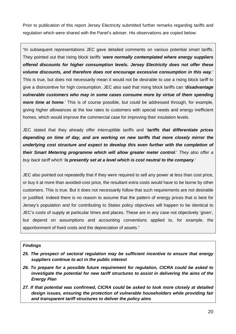Prior to publication of this report Jersey Electricity submitted further remarks regarding tariffs and regulation which were shared with the Panel's adviser. His observations are copied below:

"In subsequent representations JEC gave detailed comments on various potential smart tariffs. They pointed out that rising block tariffs '**were normally contemplated where energy suppliers offered discounts for higher consumption levels. Jersey Electricity does not offer these volume discounts, and therefore does not encourage excessive consumption in this way**.' This is true, but does not necessarily mean it would not be desirable to use a rising block tariff to give a disincentive for high consumption. JEC also said that rising block tariffs can '**disadvantage vulnerable customers who may in some cases consume more by virtue of them spending more time at home**.' This is of course possible, but could be addressed through, for example, giving higher allowances at the low rates to customers with special needs and energy inefficient homes, which would improve the commercial case for improving their insulation levels.

JEC stated that they already offer interruptible tariffs and '**tariffs that differentiate prices depending on time of day, and are working on new tariffs that more closely mirror the underlying cost structure and expect to develop this even further with the completion of their Smart Metering programme which will allow greater meter control**.' They also offer a buy back tariff which '**is presently set at a level which is cost neutral to the company**.'

JEC also pointed out repeatedly that if they were required to sell any power at less than cost price, or buy it at more than avoided-cost price, the resultant extra costs would have to be borne by other customers. This is true. But it does not necessarily follow that such requirements are not desirable or justified. Indeed there is no reason to assume that the pattern of energy prices that is best for Jersey's population and for contributing to States policy objectives will happen to be identical to JEC's costs of supply at particular times and places. These are in any case not objectively 'given', but depend on assumptions and accounting conventions applied to, for example, the apportionment of fixed costs and the depreciation of assets."

#### **Findings**

- **25. The prospect of sectoral regulation may be sufficient incentive to ensure that energy suppliers continue to act in the public interest**
- **26. To prepare for a possible future requirement for regulation, CICRA could be asked to investigate the potential for new tariff structures to assist in delivering the aims of the Energy Plan**
- **27. If that potential was confirmed, CICRA could be asked to look more closely at detailed design issues, ensuring the protection of vulnerable householders while providing fair and transparent tariff structures to deliver the policy aims**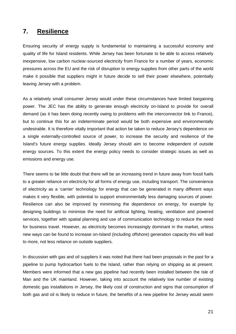## **7. Resilience**

Ensuring security of energy supply is fundamental to maintaining a successful economy and quality of life for Island residents. While Jersey has been fortunate to be able to access relatively inexpensive, low carbon nuclear-sourced electricity from France for a number of years, economic pressures across the EU and the risk of disruption to energy supplies from other parts of the world make it possible that suppliers might in future decide to sell their power elsewhere, potentially leaving Jersey with a problem.

As a relatively small consumer Jersey would under these circumstances have limited bargaining power. The JEC has the ability to generate enough electricity on-Island to provide for overall demand (as it has been doing recently owing to problems with the interconnector link to France), but to continue this for an indeterminate period would be both expensive and environmentally undesirable. It is therefore vitally important that action be taken to reduce Jersey's dependence on a single externally-controlled source of power, to increase the security and resilience of the Island's future energy supplies. Ideally Jersey should aim to become independent of outside energy sources. To this extent the energy policy needs to consider strategic issues as well as emissions and energy use.

There seems to be little doubt that there will be an increasing trend in future away from fossil fuels to a greater reliance on electricity for all forms of energy use, including transport. The convenience of electricity as a 'carrier' technology for energy that can be generated in many different ways makes it very flexible, with potential to support environmentally less damaging sources of power. Resilience can also be improved by minimising the dependence on energy, for example by designing buildings to minimise the need for artificial lighting, heating, ventilation and powered services, together with spatial planning and use of communication technology to reduce the need for business travel. However, as electricity becomes increasingly dominant in the market, unless new ways can be found to increase on-Island (including offshore) generation capacity this will lead to more, not less reliance on outside suppliers.

In discussion with gas and oil suppliers it was noted that there had been proposals in the past for a pipeline to pump hydrocarbon fuels to the Island, rather than relying on shipping as at present. Members were informed that a new gas pipeline had recently been installed between the Isle of Man and the UK mainland. However, taking into account the relatively low number of existing domestic gas installations in Jersey, the likely cost of construction and signs that consumption of both gas and oil is likely to reduce in future, the benefits of a new pipeline for Jersey would seem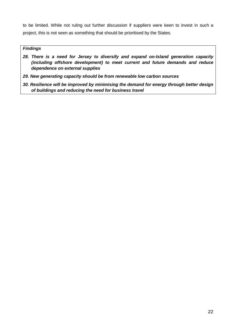to be limited. While not ruling out further discussion if suppliers were keen to invest in such a project, this is not seen as something that should be prioritised by the States.

#### **Findings**

- **28. There is a need for Jersey to diversify and expand on-Island generation capacity (including offshore development) to meet current and future demands and reduce dependence on external supplies**
- **29. New generating capacity should be from renewable low carbon sources**
- **30. Resilience will be improved by minimising the demand for energy through better design of buildings and reducing the need for business travel**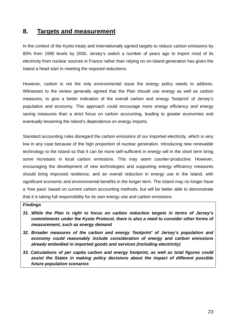## **8. Targets and measurement**

In the context of the Kyoto treaty and internationally agreed targets to reduce carbon emissions by 80% from 1990 levels by 2050, Jersey's switch a number of years ago to import most of its electricity from nuclear sources in France rather than relying on on-Island generation has given the Island a head start in meeting the required reductions.

However, carbon is not the only environmental issue the energy policy needs to address. Witnesses to the review generally agreed that the Plan should use energy as well as carbon measures, to give a better indication of the overall carbon and energy 'footprint' of Jersey's population and economy. This approach could encourage more energy efficiency and energy saving measures than a strict focus on carbon accounting, leading to greater economies and eventually lessening the Island's dependence on energy imports.

Standard accounting rules disregard the carbon emissions of our imported electricity, which is very low in any case because of the high proportion of nuclear generation. Introducing new renewable technology to the Island so that it can be more self-sufficient in energy will in the short term bring some increases in local carbon emissions. This may seem counter-productive. However, encouraging the development of new technologies and supporting energy efficiency measures should bring improved resilience, and an overall reduction in energy use in the Island, with significant economic and environmental benefits in the longer term. The Island may no longer have a 'free pass' based on current carbon accounting methods, but will be better able to demonstrate that it is taking full responsibility for its own energy use and carbon emissions.

#### **Findings**

- **31. While the Plan is right to focus on carbon reduction targets in terms of Jersey's commitments under the Kyoto Protocol, there is also a need to consider other forms of measurement, such as energy demand**
- **32. Broader measures of the carbon and energy 'footprint' of Jersey's population and economy could reasonably include consideration of energy and carbon emissions already embodied in imported goods and services (including electricity)**
- **33. Calculations of per capita carbon and energy footprint, as well as total figures could assist the States in making policy decisions about the impact of different possible future population scenarios**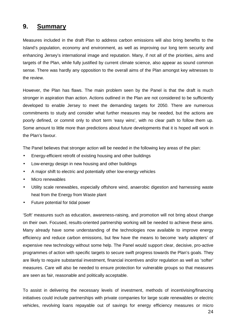# **9. Summary**

Measures included in the draft Plan to address carbon emissions will also bring benefits to the Island's population, economy and environment, as well as improving our long term security and enhancing Jersey's international image and reputation. Many, if not all of the priorities, aims and targets of the Plan, while fully justified by current climate science, also appear as sound common sense. There was hardly any opposition to the overall aims of the Plan amongst key witnesses to the review.

However, the Plan has flaws. The main problem seen by the Panel is that the draft is much stronger in aspiration than action. Actions outlined in the Plan are not considered to be sufficiently developed to enable Jersey to meet the demanding targets for 2050. There are numerous commitments to study and consider what further measures may be needed, but the actions are poorly defined, or commit only to short term 'easy wins', with no clear path to follow them up. Some amount to little more than predictions about future developments that it is hoped will work in the Plan's favour.

The Panel believes that stronger action will be needed in the following key areas of the plan:

- Energy-efficient retrofit of existing housing and other buildings
- Low-energy design in new housing and other buildings
- A major shift to electric and potentially other low-energy vehicles
- Micro renewables
- Utility scale renewables, especially offshore wind, anaerobic digestion and harnessing waste heat from the Energy from Waste plant
- Future potential for tidal power

'Soft' measures such as education, awareness-raising, and promotion will not bring about change on their own. Focused, results-oriented partnership working will be needed to achieve these aims. Many already have some understanding of the technologies now available to improve energy efficiency and reduce carbon emissions, but few have the means to become 'early adopters' of expensive new technology without some help. The Panel would support clear, decisive, pro-active programmes of action with specific targets to secure swift progress towards the Plan's goals. They are likely to require substantial investment, financial incentives and/or regulation as well as 'softer' measures. Care will also be needed to ensure protection for vulnerable groups so that measures are seen as fair, reasonable and politically acceptable.

To assist in delivering the necessary levels of investment, methods of incentivising/financing initiatives could include partnerships with private companies for large scale renewables or electric vehicles, revolving loans repayable out of savings for energy efficiency measures or micro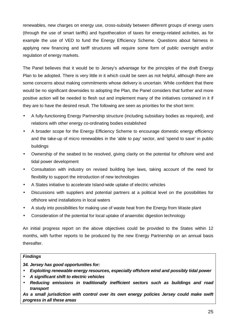renewables, new charges on energy use, cross-subsidy between different groups of energy users (through the use of smart tariffs) and hypothecation of taxes for energy-related activities, as for example the use of VED to fund the Energy Efficiency Scheme. Questions about fairness in applying new financing and tariff structures will require some form of public oversight and/or regulation of energy markets.

The Panel believes that it would be to Jersey's advantage for the principles of the draft Energy Plan to be adopted. There is very little in it which could be seen as not helpful, although there are some concerns about making commitments whose delivery is uncertain. While confident that there would be no significant downsides to adopting the Plan, the Panel considers that further and more positive action will be needed to flesh out and implement many of the initiatives contained in it if they are to have the desired result. The following are seen as priorities for the short term:

- A fully-functioning Energy Partnership structure (including subsidiary bodies as required), and relations with other energy co-ordinating bodies established
- A broader scope for the Energy Efficiency Scheme to encourage domestic energy efficiency and the take-up of micro renewables in the 'able to pay' sector, and 'spend to save' in public buildings
- Ownership of the seabed to be resolved, giving clarity on the potential for offshore wind and tidal power development
- Consultation with industry on revised building bye laws, taking account of the need for flexibility to support the introduction of new technologies
- A States initiative to accelerate Island-wide uptake of electric vehicles
- Discussions with suppliers and potential partners at a political level on the possibilities for offshore wind installations in local waters
- A study into possibilities for making use of waste heat from the Energy from Waste plant
- Consideration of the potential for local uptake of anaerobic digestion technology

An initial progress report on the above objectives could be provided to the States within 12 months, with further reports to be produced by the new Energy Partnership on an annual basis thereafter.

#### **Findings**

**34. Jersey has good opportunities for:** 

- **Exploiting renewable energy resources, especially offshore wind and possibly tidal power**
- **A significant shift to electric vehicles**
- **Reducing emissions in traditionally inefficient sectors such as buildings and road transport**

**As a small jurisdiction with control over its own energy policies Jersey could make swift progress in all these areas**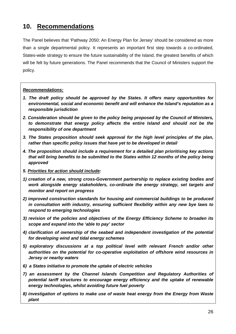# **10. Recommendations**

The Panel believes that 'Pathway 2050: An Energy Plan for Jersey' should be considered as more than a single departmental policy. It represents an important first step towards a co-ordinated, States-wide strategy to ensure the future sustainability of the Island, the greatest benefits of which will be felt by future generations. The Panel recommends that the Council of Ministers support the policy.

#### **Recommendations:**

- **1. The draft policy should be approved by the States. It offers many opportunities for environmental, social and economic benefit and will enhance the Island's reputation as a responsible jurisdiction**
- **2. Consideration should be given to the policy being proposed by the Council of Ministers, to demonstrate that energy policy affects the entire Island and should not be the responsibility of one department**
- **3. The States proposition should seek approval for the high level principles of the plan, rather than specific policy issues that have yet to be developed in detail**
- **4. The proposition should include a requirement for a detailed plan prioritising key actions that will bring benefits to be submitted to the States within 12 months of the policy being approved**
- **5. Priorities for action should include:**
- **1) creation of a new, strong cross-Government partnership to replace existing bodies and work alongside energy stakeholders, co-ordinate the energy strategy, set targets and monitor and report on progress**
- **2) improved construction standards for housing and commercial buildings to be produced in consultation with industry, ensuring sufficient flexibility within any new bye laws to respond to emerging technologies**
- **3) revision of the policies and objectives of the Energy Efficiency Scheme to broaden its scope and expand into the 'able to pay' sector**
- **4) clarification of ownership of the seabed and independent investigation of the potential for developing wind and tidal energy schemes**
- **5) exploratory discussions at a top political level with relevant French and/or other authorities on the potential for co-operative exploitation of offshore wind resources in Jersey or nearby waters**
- **6) a States initiative to promote the uptake of electric vehicles**
- **7) an assessment by the Channel Islands Competition and Regulatory Authorities of potential tariff structures to encourage energy efficiency and the uptake of renewable energy technologies, whilst avoiding future fuel poverty**
- **8) investigation of options to make use of waste heat energy from the Energy from Waste plant**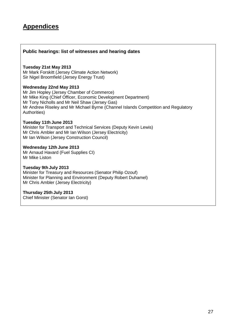# **Appendices**

#### **Public hearings: list of witnesses and hearing dates**

#### **Tuesday 21st May 2013**

Mr Mark Forskitt (Jersey Climate Action Network) Sir Nigel Broomfield (Jersey Energy Trust)

#### **Wednesday 22nd May 2013**

Mr Jim Hopley (Jersey Chamber of Commerce) Mr Mike King (Chief Officer, Economic Development Department) Mr Tony Nicholls and Mr Neil Shaw (Jersey Gas) Mr Andrew Riseley and Mr Michael Byrne (Channel Islands Competition and Regulatory Authorities)

#### **Tuesday 11th June 2013**

Minister for Transport and Technical Services (Deputy Kevin Lewis) Mr Chris Ambler and Mr Ian Wilson (Jersey Electricity) Mr Ian Wilson (Jersey Construction Council)

#### **Wednesday 12th June 2013**

Mr Arnaud Havard (Fuel Supplies CI) Mr Mike Liston

#### **Tuesday 9th July 2013**

Minister for Treasury and Resources (Senator Philip Ozouf) Minister for Planning and Environment (Deputy Robert Duhamel) Mr Chris Ambler (Jersey Electricity)

#### **Thursday 25th July 2013**

Chief Minister (Senator Ian Gorst)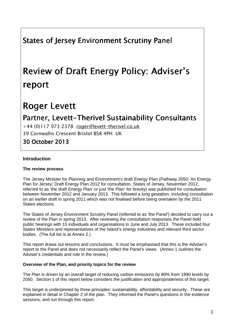# States of Jersey Environment Scrutiny Panel

# Review of Draft Energy Policy: Adviser's report

# Roger Levett

# Partner, Levett-Therivel Sustainability Consultants

+44 (0)117 973 2378 roger@levett-therivel.co.uk 39 Cornwallis Crescent Bristol BS8 4PH UK

30 October 2013 2013

#### **Introduction**

#### **The review process**

The Jersey Minister for Planning and Environment's draft Energy Plan (Pathway 2050: An Energy Plan for Jersey; Draft Energy Plan 2012 for consultation, States of Jersey, November 2012, referred to as 'the draft Energy Plan' or just 'the Plan' for brevity) was published for consultation between November 2012 and January 2013. This followed a long gestation, including consultation on an earlier draft in spring 2011 which was not finalised before being overtaken by the 2011 States elections.

The States of Jersey Environment Scrutiny Panel (referred to as 'the Panel') decided to carry out a review of the Plan in spring 2013. After reviewing the consultation responses the Panel held public hearings with 15 individuals and organisations in June and July 2013. These included four States Ministers and representatives of the Island's energy industries and relevant third sector bodies. (The full list is at Annex 2.)

This report draws out lessons and conclusions. It must be emphasised that this is the Adviser's report to the Panel and does not necessarily reflect the Panel's views. (Annex 1 outlines the Adviser's credentials and role in the review.)

#### **Overview of the Plan, and priority topics for the review**

The Plan is driven by an overall target of reducing carbon emissions by 80% from 1990 levels by 2050. Section 1 of this report below considers the justification and appropriateness of this target.

This target is underpinned by three principles: sustainability, affordability and security. These are explained in detail in Chapter 2 of the plan. They informed the Panel's questions in the evidence sessions, and run through this report.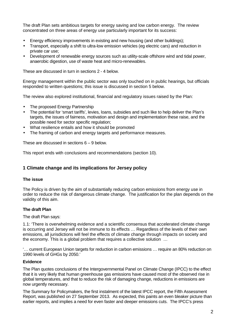The draft Plan sets ambitious targets for energy saving and low carbon energy. The review concentrated on three areas of energy use particularly important for its success:

- Energy efficiency improvements in existing and new housing (and other buildings);
- Transport, especially a shift to ultra-low emission vehicles (eg electric cars) and reduction in private car use;
- Development of renewable energy sources such as utility-scale offshore wind and tidal power, anaerobic digestion, use of waste heat and micro-renewables.

These are discussed in turn in sections 2 - 4 below.

Energy management within the public sector was only touched on in public hearings, but officials responded to written questions; this issue is discussed in section 5 below.

The review also explored institutional, financial and regulatory issues raised by the Plan:

- The proposed Energy Partnership
- The potential for 'smart tariffs', levies, loans, subsidies and such like to help deliver the Plan's targets, the issues of fairness, motivation and design and implementation these raise, and the possible need for sector specific regulation;
- What resilience entails and how it should be promoted
- The framing of carbon and energy targets and performance measures.

These are discussed in sections 6 – 9 below.

This report ends with conclusions and recommendations (section 10).

#### **1 Climate change and its implications for Jersey policy**

#### **The issue**

The Policy is driven by the aim of substantially reducing carbon emissions from energy use in order to reduce the risk of dangerous climate change. The justification for the plan depends on the validity of this aim.

#### **The draft Plan**

The draft Plan says:

1.1: 'There is overwhelming evidence and a scientific consensus that accelerated climate change is occurring and Jersey will not be immune to its effects ... Regardless of the levels of their own emissions, all jurisdictions will feel the effects of climate change through impacts on society and the economy. This is a global problem that requires a collective solution …

'… current European Union targets for reduction in carbon emissions … require an 80% reduction on 1990 levels of GHGs by 2050.'

#### **Evidence**

The Plan quotes conclusions of the Intergovernmental Panel on Climate Change (IPCC) to the effect that it is very likely that human greenhouse gas emissions have caused most of the observed rise in global temperatures, and that to reduce the risk of damaging change, reductions in emissions are now urgently necessary.

The Summary for Policymakers, the first instalment of the latest IPCC report, the Fifth Assessment Report, was published on 27 September 2013. As expected, this paints an even bleaker picture than earlier reports, and implies a need for even faster and deeper emissions cuts. The IPCC's press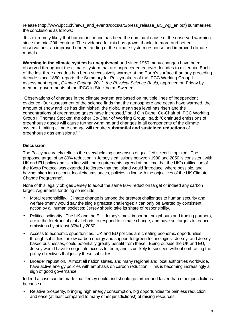release (http://www.ipcc.ch/news\_and\_events/docs/ar5/press\_release\_ar5\_wgi\_en.pdf) summarises the conclusions as follows:

'It is extremely likely that human influence has been the dominant cause of the observed warming since the mid-20th century. The evidence for this has grown, thanks to more and better observations, an improved understanding of the climate system response and improved climate models.

**Warming in the climate system is unequivocal** and since 1950 many changes have been observed throughout the climate system that are unprecedented over decades to millennia. Each of the last three decades has been successively warmer at the Earth's surface than any preceding decade since 1850, reports the Summary for Policymakers of the IPCC Working Group I assessment report, Climate Change 2013: the Physical Science Basis, approved on Friday by member governments of the IPCC in Stockholm, Sweden.

"Observations of changes in the climate system are based on multiple lines of independent evidence. Our assessment of the science finds that the atmosphere and ocean have warmed, the amount of snow and ice has diminished, the global mean sea level has risen and the concentrations of greenhouse gases have increased," said Qin Dahe, Co-Chair of IPCC Working Group I. Thomas Stocker, the other Co-Chair of Working Group I said: "Continued emissions of greenhouse gases will cause further warming and changes in all components of the climate system. Limiting climate change will require **substantial and sustained reductions** of greenhouse gas emissions." '

#### **Discussion**

The Policy accurately reflects the overwhelming consensus of qualified scientific opinion. The proposed target of an 80% reduction in Jersey's emissions between 1990 and 2050 is consistent with UK and EU policy and is in line with the requirements agreed at the time that the UK's ratification of the Kyoto Protocol was extended to Jersey that the Island would 'introduce, where possible, and having taken into account local circumstances, policies in line with the objectives of the UK Climate Change Programme'.

None of this legally obliges Jersey to adopt the same 80% reduction target or indeed any carbon target. Arguments for doing so include:

- Moral responsibility. Climate change is among the greatest challenges to human security and welfare (many would say the single greatest challenge): it can only be averted by consistent action by all human societies; Jersey should take its share of responsibility.
- Political solidarity. The UK and the EU, Jersey's most important neighbours and trading partners, are in the forefront of global efforts to respond to climate change, and have set targets to reduce emissions by at least 80% by 2050.
- Access to economic opportunities. UK and EU policies are creating economic opportunities through subsidies for low carbon energy and support for green technologies. Jersey, and Jersey based businesses, could potentially greatly benefit from these. Being outside the UK and EU, Jersey would have to negotiate access to them, and is unlikely to succeed without embracing the policy objectives that justify these subsidies.
- Broader reputation. Almost all nation states, and many regional and local authorities worldwide, have active energy policies with emphasis on carbon reduction. This is becoming increasingly a sign of good governance.

Indeed a case can be made that Jersey could and should go further and faster than other jurisdictions because of:

• Relative prosperity, bringing high energy consumption, big opportunities for painless reduction, and ease (at least compared to many other jurisdictions!) of raising resources;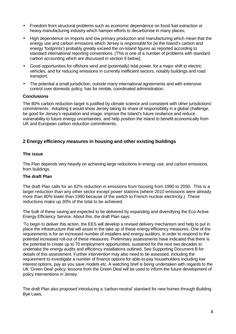- Freedom from structural problems such as economic dependence on fossil fuel extraction or heavy manufacturing industry which hamper efforts to decarbonise in many places;
- High dependence on imports and low primary production and manufacturing which mean that the energy use and carbon emissions which Jersey is responsible for (ie the Island's carbon and energy 'footprints') probably greatly exceed the on-Island figures as reported according to standard international reporting conventions. (This is one of a number of problems with standard carbon accounting which are discussed in section 9 below);
- Good opportunities for offshore wind and (potentially) tidal power, for a major shift to electric vehicles, and for reducing emissions in currently inefficient sectors, notably buildings and road transport;
- The potential a small jurisdiction, outside many international agreements and with extensive control over domestic policy, has for nimble, coordinated administration.

#### **Conclusions**

The 80% carbon reduction target is justified by climate science and consistent with other jurisdictions' commitments. Adopting it would show Jersey taking its share of responsibility in a global challenge, be good for Jersey's reputation and image, improve the Island's future resilience and reduce vulnerability to future energy uncertainties, and help position the Island to benefit economically from UK and European carbon reduction commitments.

#### **2 Energy efficiency measures in housing and other existing buildings**

#### **The issue**

The Plan depends very heavily on achieving large reductions in energy use, and carbon emissions, from buildings.

#### **The draft Plan**

The draft Plan calls for an 82% reduction in emissions from housing from 1990 to 2050. This is a larger reduction than any other sector except power stations (where 2010 emissions were already more than 80% lower than 1990 because of the switch to French nuclear electricity.) These reductions make up 30% of the total to be achieved.

The bulk of these saving are expected to be delivered by expanding and diversifying the Eco-Active Energy Efficiency Service. About this, the draft Plan says:

'To begin to deliver this action, the EES will develop a revised delivery mechanism and help to put in place the infrastructure that will assist in the take up of these energy efficiency measures. One of the requirements is for an increased number of installers and energy auditors, in order to respond to the potential increased roll-out of these measures. Preliminary assessments have indicated that there is the potential to create up to 70 employment opportunities, sustained for the next two decades to undertake the energy audits and efficiency installations outlined. See Supporting Document B for details of this assessment. Further intervention may also need to be assessed, including the requirement to investigate a number of finance options for able-to-pay householders including low interest options, pay as you save models etc. A watching brief is being undertaken with regards to the UK 'Green Deal' policy; lessons from the Green Deal will be used to inform the future development of policy interventions in Jersey.'

The draft Plan also proposed introducing a 'carbon-neutral' standard for new homes through Building Bye Laws.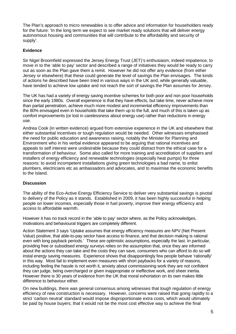The Plan's approach to micro renewables is to offer advice and information for householders ready for the future: 'In the long term we expect to see market ready solutions that will deliver energy autonomous housing and communities that will contribute to the affordability and security of supply'.

#### **Evidence**

Sir Nigel Broomfield expressed the Jersey Energy Trust (JET)'s enthusiasm, indeed impatience, to move in to the 'able to pay' sector and described a range of initiatives they would be ready to carry out as soon as the Plan gave them a remit. However he did not offer any evidence (from either Jersey or elsewhere) that these could generate the level of savings the Plan envisages. The kinds of actions he described have been tried in various ways in the UK and, while generally valuable, have tended to achieve low uptake and not reach the sort of savings the Plan assumes for Jersey.

The UK has had a variety of energy saving incentive schemes for both poor and non poor households since the early 1980s. Overall experience is that they have effects, but take time, never achieve more than partial penetration, achieve much more modest and incremental efficiency improvements than the 80% envisaged even in households that take them up to the full, and much of this is taken up as comfort improvements (or lost in carelessness about energy use) rather than reductions in energy use.

Andrea Cook (in written evidence) argued from extensive experience in the UK and elsewhere that either substantial incentives or tough regulation would be needed. Other witnesses emphasised the need for public education and awareness raising, notably the Minister for Planning and Environment who in his verbal evidence appeared to be arguing that rational incentives and appeals to self interest were undesirable because they could distract from the ethical case for a transformation of behaviour. Some also called for more training and accreditation of suppliers and installers of energy efficiency and renewable technologies (especially heat pumps) for three reasons: to avoid incompetent installations giving green technologies a bad name, to enlist plumbers, electricians etc as ambassadors and advocates, and to maximise the economic benefits to the Island.

#### **Discussion**

The ability of the Eco-Active Energy Efficiency Service to deliver very substantial savings is pivotal to delivery of the Policy as it stands. Established in 2009, it has been highly successful in helping people on lower incomes, especially those in fuel poverty, improve their energy efficiency and access to affordable warmth.

However it has no track record in the 'able to pay' sector where, as the Policy acknowledges, motivations and behavioural triggers are completely different.

Action Statement 3 says 'Uptake assumes that energy efficiency measures are NPV (Net Present Value) positive, that able-to-pay sector have access to finance, and that decision making is rational even with long payback periods.' These are optimistic assumptions, especially the last. In particular, providing free or subsidised energy surveys relies on the assumption that, once they are informed about the actions they can take and the costs they can save, consumers who can afford to do so will instal energy saving measures. Experience shows that disappointingly few people behave 'rationally' in this way. Most fail to implement even measures with short paybacks for a variety of reasons, including feeling the hassle is not worth it, anxiety about commissioning work they are not confident they can judge, being overcharged or given inappropriate or ineffective work, and sheer inertia. However there is 30 years of evidence from the UK that moral exhortation on its own makes little difference to behaviour either.

On new buildings, there was general consensus among witnesses that tough regulation of energy efficiency of new construction is necessary. However, concerns were raised that going rapidly to a strict 'carbon neutral' standard would impose disproportionate extra costs, which would ultimately be paid by house buyers; that it would not be the most cost effective way to achieve the final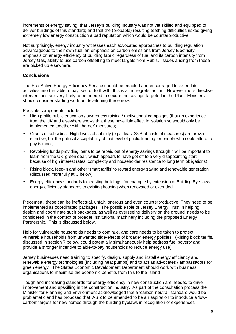increments of energy saving; that Jersey's building industry was not yet skilled and equipped to deliver buildings of this standard; and that the (probable) resulting teething difficulties risked giving extremely low energy construction a bad reputation which would be counterproductive.

Not surprisingly, energy industry witnesses each advocated approaches to building regulation advantageous to their own fuel: an emphasis on carbon emissions from Jersey Electricity, emphasis on energy efficiency of building fabric regardless of fuel and its carbon intensity from Jersey Gas, ability to use carbon offsetting to meet targets from Rubis. Issues arising from these are picked up elsewhere.

#### **Conclusions**

The Eco-Active Energy Efficiency Service should be enabled and encouraged to extend its activities into the 'able to pay' sector forthwith: this is a 'no regrets' action. However more directive interventions are very likely to be needed to secure the savings targeted in the Plan. Ministers should consider starting work on developing these now.

Possible components include:

- High profile public education / awareness raising / motivational campaigns (though experience from the UK and elsewhere shows that these have little effect in isolation so should only be implemented together with 'harder' measures;
- Grants or subsidies. High levels of subsidy (eg at least 33% of costs of measures) are proven effective, but the political acceptability of that level of public funding for people who could afford to pay is moot;
- Revolving funds providing loans to be repaid out of energy savings (though it will be important to learn from the UK 'green deal', which appears to have got off to a very disappointing start because of high interest rates, complexity and householder resistance to long term obligations);
- Rising block, feed-in and other 'smart tariffs' to reward energy saving and renewable generation (discussed more fully at C below);
- Energy efficiency standards for existing buildings, for example by extension of Building Bye-laws energy efficiency standards to existing housing when renovated or extended.

Piecemeal, these can be ineffectual, unfair, onerous and even counterproductive. They need to be implemented as coordinated packages. The possible role of Jersey Energy Trust in helping design and coordinate such packages, as well as overseeing delivery on the ground, needs to be considered in the context of broader institutional machinery including the proposed Energy Partnership. This is discussed below.

Help for vulnerable households needs to continue, and care needs to be taken to protect vulnerable households from unwanted side-effects of broader energy policies. (Rising block tariffs, discussed in section 7 below, could potentially simultaneously help address fuel poverty and provide a stronger incentive to able-to-pay households to reduce energy use).

Jersey businesses need training to specify, design, supply and install energy efficiency and renewable energy technologies (including heat pumps) and to act as advocates / ambassadors for green energy. The States Economic Development Department should work with business organisations to maximise the economic benefits from this to the Island

Tough and increasing standards for energy efficiency in new construction are needed to drive improvement and upskilling in the construction industry. As part of the consultation process the Minister for Planning and Environment acknowledged that a 'carbon-neutral' standard would be problematic and has proposed that 'AS 2 to be amended to be an aspiration to introduce a 'lowcarbon' targets for new homes through the building byelaws in recognition of experiences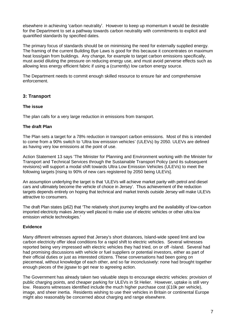elsewhere in achieving 'carbon neutrality'. However to keep up momentum it would be desirable for the Department to set a pathway towards carbon neutrality with commitments to explicit and quantified standards by specified dates.

The primary focus of standards should be on minimising the need for externally supplied energy. The framing of the current Building Bye Laws is good for this because it concentrates on maximum heat loss/gain from buildings. Any change, for example to target carbon emissions specifically, must avoid diluting the pressure on reducing energy use, and must avoid perverse effects such as allowing less energy efficient fabric if using a (currently) low carbon energy source.

The Department needs to commit enough skilled resource to ensure fair and comprehensive enforcement.

#### **3: Transport**

#### **The issue**

The plan calls for a very large reduction in emissions from transport.

#### **The draft Plan**

The Plan sets a target for a 78% reduction in transport carbon emissions. Most of this is intended to come from a 90% switch to 'Ultra low emission vehicles' (ULEVs) by 2050. ULEVs are defined as having very low emissions at the point of use.

Action Statement 13 says 'The Minister for Planning and Environment working with the Minister for Transport and Technical Services through the Sustainable Transport Policy (and its subsequent revisions) will support a modal shift towards Ultra Low Emission Vehicles (ULEVs) to meet the following targets [rising to 90% of new cars registered by 2050 being ULEVs].

An assumption underlying the target is that 'ULEVs will achieve market parity with petrol and diesel cars and ultimately become the vehicle of choice in Jersey'. Thus achievement of the reduction targets depends entirely on hoping that technical and market trends outside Jersey will make ULEVs attractive to consumers.

The draft Plan states (p62) that 'The relatively short journey lengths and the availability of low-carbon imported electricity makes Jersey well placed to make use of electric vehicles or other ultra low emission vehicle technologies.'

#### **Evidence**

Many different witnesses agreed that Jersey's short distances, Island-wide speed limit and low carbon electricity offer ideal conditions for a rapid shift to electric vehicles. Several witnesses reported being very impressed with electric vehicles they had tried, on or off -Island. Several had had promising discussions with vehicle or fuel suppliers or potential investors, either as part of their official duties or just as interested citizens. These conversations had been going on piecemeal, without knowledge of each other, and so far inconclusively: none had brought together enough pieces of the jigsaw to get near to agreeing action.

The Government has already taken two valuable steps to encourage electric vehicles: provision of public charging points, and cheaper parking for ULEVs in St Helier. However, uptake is still very low. Reasons witnesses identified include the much higher purchase cost (£10k per vehicle), image, and sheer inertia. Residents wishing to use their vehicles in Britain or continental Europe might also reasonably be concerned about charging and range elsewhere.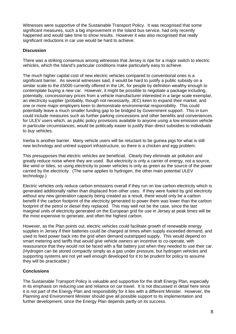Witnesses were supportive of the Sustainable Transport Policy. It was recognised that some significant measures, such a big improvement in the Island bus service, had only recently happened and would take time to show results. However it was also recognised that really significant reductions in car use would be hard to achieve.

#### **Discussion**

There was a striking consensus among witnesses that Jersey is ripe for a major switch to electric vehicles, which the Island's particular conditions make particularly easy to achieve.

The much higher capital cost of new electric vehicles compared to conventional ones is a significant barrier. As several witnesses said, it would be hard to justify a public subsidy on a similar scale to the £5000 currently offered in the UK, for people by definition wealthy enough to contemplate buying a new car. However, it might be possible to negotiate a package including, potentially, concessionary prices from a vehicle manufacturer interested in a large scale exemplar, an electricity supplier (probably, though not necessarily, JEC) keen to expand their market, and one or more major employers keen to demonstrate environmental responsibility. This could potentially leave a much smaller funding gap to be bridged by Government support. This in turn could include measures such as further parking concessions and other benefits and conveniences for ULEV users which, as public policy provisions available to anyone using a low emission vehicle in particular circumstances, would be politically easier to justify than direct subsidies to individuals to buy vehicles.

Inertia is another barrier. Many vehicle users will be reluctant to be guinea pigs for what is still new technology and untried support infrastructure, so there is a chicken and egg problem.

This presupposes that electric vehicles are beneficial. Clearly they eliminate air pollution and greatly reduce noise where they are used. But electricity is only a carrier of energy, not a source, like wind or tides, so using electricity to power vehicles is only as green as the source of the power carried by the electricity. (The same applies to hydrogen, the other main potential ULEV technology.)

Electric vehicles only reduce carbon emissions overall if they run on low carbon electricity which is generated additionally rather than displaced from other uses. If they were fueled by grid electricity without any new generation capacity being created as a result, there would only be a carbon benefit if the carbon footprint of the electricity generated to power them was lower than the carbon footprint of the petrol or diesel they replaced. This may well not be the case, since the last marginal units of electricity generated on the European grid for use in Jersey at peak times will be the most expensive to generate, and often the highest carbon.

However, as the Plan points out, electric vehicles could facilitate growth of renewable energy supplies in Jersey if their batteries could be charged at times when supply exceeded demand, and used to feed power back into the grid when demand outstripped supply. This would depend on smart metering and tariffs that would give vehicle owners an incentive to co-operate, with reassurance that they would not be faced with a flat battery just when they needed to use their car. (Hydrogen can be stored compactly simply as a gas under pressure, but hydrogen vehicles and supporting systems are not yet well enough developed for it to be prudent for policy to assume they will be practicable.)

#### **Conclusions**

The Sustainable Transport Policy is valuable and supportive for the draft Energy Plan, especially in its emphasis on reducing use and reliance on car travel. It is not discussed in detail here since it is not part of the Energy Plan and responsibility for it lies with a different Minister. However, the Planning and Environment Minister should give all possible support to its implementation and further development, since the Energy Plan depends partly on its success.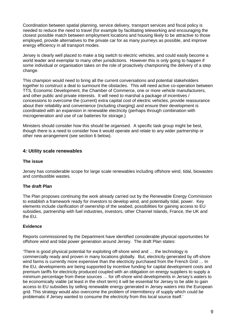Coordination between spatial planning, service delivery, transport services and fiscal policy is needed to reduce the need to travel (for example by facilitating teleworking and encouraging the closest possible match between employment locations and housing likely to be attractive to those employed, provide alternatives to the private car for as many journeys as possible, and improve energy efficiency in all transport modes.

Jersey is clearly well placed to make a big switch to electric vehicles, and could easily become a world leader and exemplar to many other jurisdictions. However this is only going to happen if some individual or organisation takes on the role of proactively championing the delivery of a step change.

This champion would need to bring all the current conversations and potential stakeholders together to construct a deal to surmount the obstacles. This will need active co-operation between TTS, Economic Development, the Chamber of Commerce, one or more vehicle manufacturers, and other public and private interests. It will need to marshal a package of incentives / concessions to overcome the (current) extra capital cost of electric vehicles, provide reassurance about their reliability and convenience (including charging) and ensure their development is coordinated with an expansion in renewable electricity (perhaps through combination with microgeneration and use of car batteries for storage.)

Ministers should consider how this should be organised. A specific task group might be best, though there is a need to consider how it would operate and relate to any wider partnership or other new arrangement (see section 6 below).

#### **4: Utility scale renewables**

#### **The issue**

Jersey has considerable scope for large scale renewables including offshore wind, tidal, biowastes and combustible wastes.

#### **The draft Plan**

The Plan proposes continuing the work already carried out by the Renewable Energy Commission to establish a framework ready for investors to develop wind, and potentially tidal, power. Key elements include clarification of ownership of the seabed, possibilities for gaining access to EU subsidies, partnership with fuel industries, investors, other Channel Islands, France, the UK and the EU.

#### **Evidence**

Reports commissioned by the Department have identified considerable physical opportunities for offshore wind and tidal power generation around Jersey. The draft Plan states:

'There is good physical potential for exploiting off-shore wind and … the technology is commercially ready and proven in many locations globally. But, electricity generated by off-shore wind farms is currently more expensive than the electricity purchased from the French Grid … In the EU, developments are being supported by incentive funding for capital development costs and premium tariffs for electricity produced coupled with an obligation on energy suppliers to supply a minimum percentage from these sources … for off-shore wind developments in Jersey's waters to be economically viable (at least in the short term) it will be essential for Jersey to be able to gain access to EU subsidies by selling renewable energy generated in Jersey waters into the European grid. This strategy would also overcome the problem of intermittency of supply which could be problematic if Jersey wanted to consume the electricity from this local source itself.'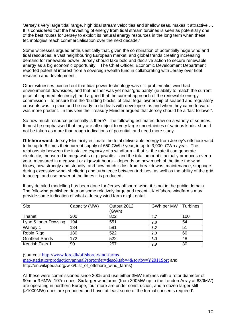'Jersey's very large tidal range, high tidal stream velocities and shallow seas, makes it attractive … It is considered that the harvesting of energy from tidal stream turbines is seen as potentially one of the best routes for Jersey to exploit its natural energy resources in the long term when these technologies reach commercialisation over the next decade.'

Some witnesses argued enthusiastically that, given the combination of potentially huge wind and tidal resources, a vast neighbouring European market, and global trends creating increasing demand for renewable power, Jersey should take bold and decisive action to secure renewable energy as a big economic opportunity. The Chief Officer, Economic Development Department reported potential interest from a sovereign wealth fund in collaborating with Jersey over tidal research and development.

Other witnesses pointed out that tidal power technology was still problematic, wind had environmental downsides, and that neither was yet near 'grid parity' (ie ability to match the current price of imported electricity), and argued that the current approach of the renewable energy commission – to ensure that the 'building blocks' of clear legal ownership of seabed and regulatory consents was in place and be ready to do deals with developers as and when they came forward – was more prudent. In this vein the Treasury Minister argued that Jersey should be a 'fast follower'.

So how much resource potentially is there? The following estimates draw on a variety of sources. It must be emphasised that they are all subject to very large uncertainties of various kinds, should not be taken as more than rough indications of potential, and need more study.

**Offshore wind:** Jersey Electricity estimate the total deliverable energy from Jersey's offshore wind to be up to 6 times their current supply of 650 GWh / year, ie up to 3,900 GWh / year. The relationship between the installed *capacity* of a windfarm  $-$  that is, the rate it can generate electricity, measured in megawatts or gigawatts – and the total amount it actually produces over a year, measured in megawatt or gigawatt hours – depends on how much of the time the wind blows, how strongly and steadily, and how much is lost from breakdowns, maintenance, stoppage during excessive wind, sheltering and turbulence between turbines, as well as the ability of the grid to accept and use power at the times it is produced.

If any detailed modelling has been done for Jersey offshore wind, it is not in the public domain. The following published data on some relatively large and recent UK offshore windfarms may provide some indication of what a Jersey wind farm might entail:

| <b>Site</b>           | Capacity (MW) | Output 2012<br>(GWh) | GWh per MW | <b>Turbines</b> |
|-----------------------|---------------|----------------------|------------|-----------------|
| Thanet                | 300           | 822                  | 2.7        | 100             |
| Lynn & inner Dowsing  | 194           | 551                  | 2.8        | 54              |
| Walney 1              | 184           | 581                  | 3.2        | 51              |
| Robin Rigg            | 180           | 522                  | 2.9        | 60              |
| <b>Gunfleet Sands</b> | 172           | 522                  | 3.0        | 48              |
| Kentish Flats 1       | 90            | 257                  | 2.9        | 30              |

(sources: http://www.lorc.dk/offshore-wind-farmsmap/statistics/production/annual?sortorder=desc&tab=4&sortby=Y2011Sort and http://en.wikipedia.org/wiki/List\_of\_offshore\_wind\_farms)

All these were commissioned since 2005 and use either 3MW turbines with a rotor diameter of 90m or 3.6MW, 107m ones. Six larger windfarms (from 300MW up to the London Array at 630MW) are operating in northern Europe, four more are under construction, and a dozen larger still (>1000MW) ones are proposed and have 'at least some of the formal consents required'.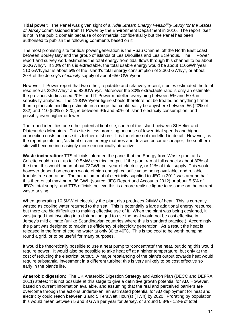**Tidal power: T**he Panel was given sight of a Tidal Stream Energy Feasibility Study for the States of Jersey commissioned from IT Power by the Environment Department in 2010. The report itself is not in the public domain because of commercial confidentiality but the Panel has been authorised to publish the following comments based on it.

The most promising site for tidal power generation is the Ruau Channel off the North East coast between Bouley Bay and the group of islands of Les Dirouilles and Les Écréhous. The IT Power report and survey work estimates the total energy from tidal flows through this channel to be about 360GWh/yr. If 30% of this is extractable, the total usable energy would be about 110GWh/year. 110 GWh/year is about 5% of the Island's total energy consumption of 2,300 GWh/yr, or about 20% of the Jersey's electricity supply of about 650 GWh/year.

However IT Power report that two other, reputable and relatively recent, studies estimated the total resource as 282GWh/yr and 820GWh/yr. Moreover the 30% extractable ratio is only an estimate: the previous studies used 20%, and IT Power modelled everything between 5% and 50% in sensitivity analyses. The 110GWh/year figure should therefore not be treated as anything firmer than a plausible middling estimate in a range that could easily be anywhere between 56 (20% of 282) and 410 (50% of 820), ie between 9% and 50% of Island electricity consumption, and possibly even higher or lower.

The report identifies one other potential tidal site, south of the Island between St Helier and Plateau des Minquiers. This site is less promising because of lower tidal speeds and higher connection costs because it is further offshore. It is therefore not modelled in detail. However, as the report points out, 'as tidal stream energy matures and devices become cheaper, the southern site will become increasingly more economically attractive.'

**Waste incineration:** TTS officials informed the panel that the Energy from Waste plant at La Collette could run at up to 10.5MW electrical output. If the plant ran at full capacity about 80% of the time, this would mean about 73GWh per year of electricity, or 11% of total supply This would however depend on enough waste of high enough calorific value being available, and reliable trouble free operation. The actual amount of electricity supplied to JEC in 2012 was around half this theoretical maximum, 36 GWh (source: JEC Report and Accounts 2012) or about 5.5% of JEC's total supply, and TTS officials believe this is a more realistic figure to assume on the current waste arising.

When generating 10.5MW of electricity the plant also produces 24MW of heat. This is currently wasted as cooling water returned to the sea. This is potentially a large additional energy resource, but there are big difficulties to making effective use of it. When the plant was being designed, it was judged that investing in a distribution grid to use the heat would not be cost effective in Jersey's mild climate (unlike Scandinavian countries where this is standard practice.) Accordingly the plant was designed to maximise efficiency of electricity generation. As a result the heat is released in the form of cooling water at only 30 to  $40^{\circ}$ C. This is too cool to be worth pumping round a grid, or to be useful for many purposes.

It would be theoretically possible to use a heat pump to 'concentrate' the heat, but doing this would require power. It would also be possible to take heat off at a higher temperature, but only at the cost of reducing the electrical output. A major rebalancing of the plant's output towards heat would require substantial investment in a different turbine; this is very unlikely to be cost effective so early in the plant's life.

**Anaerobic digestion:** The UK Anaerobic Digestion Strategy and Action Plan (DECC and DEFRA 2011) states: 'It is not possible at this stage to give a definitive growth potential for AD. However, based on current information available, and assuming that the real and perceived barriers are overcome through the actions undertaken, an estimated potential for AD deployment for heat and electricity could reach between 3 and 5 TeraWatt Hour(s) (TWh) by 2020.' Prorating by population this would mean between 5 and 8 GWh per year for Jersey, or around 0.8% - 1.3% of total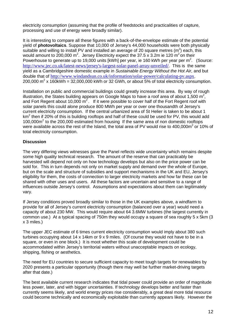electricity consumption (assuming that the profile of feedstocks and practicalities of capture, processing and use of energy were broadly similar).

It is interesting to compare all these figures with a back-of-the-envelope estimate of the potential yield of **photovoltaics**. Suppose that 10,000 of Jersey's 44,000 households were both physically suitable and willing to install PV and installed an average of 20 square metres (m<sup>2</sup>) each, this would amount to 200,000 m<sup>2</sup>. Jersey Electricity expect the 37.5 x 3.2m ie 120 m<sup>2</sup> on their Powerhouse to generate up to 19,000 units [kWh] per year, ie 160 kWh per year per  $m^2$ . (Source: http://www.jec.co.uk/latest-news/jersey's-largest-solar-panel-array-unveiled/. This is the same yield as a Cambridgeshire domestic example in Sustainable Energy Without the Hot Air, and but double that of http://www.windandsun.co.uk/information/solar-power/calculating-pv.aspx. 200,000  $m^2$  x 160kWh = 32,000,000 kWh or 32 GWh, or about 5% of total electricity consumption.

Installation on public and commercial buildings could greatly increase this area. By way of rough illustration, the States building appears on Google Maps to have a roof area of about 1,500 m<sup>2</sup>, and Fort Regent about 10,000  $m^2$ . If it were possible to cover half of the Fort Regent roof with solar panels this could alone produce 800 MWh per year or over one thousandth of Jersey's current electricity consumption. If the central urbanized area of St Helier is taken to be about 1 km<sup>2</sup> then if 20% of this is building rooftops and half of these could be used for PV, this would add  $100,000m<sup>2</sup>$  to the 200,000 estimated from housing If the same area of non domestic rooftops were available across the rest of the Island, the total area of PV would rise to 400,000m<sup>2</sup> or 10% of total electricity consumption.

#### **Discussion**

The very differing views witnesses gave the Panel reflects wide uncertainty which remains despite some high quality technical research. The amount of the reserve that can practicably be harvested will depend not only on how technology develops but also on the price power can be sold for. This in turn depends not only on market supply and demand over the whole of Europe, but on the scale and structure of subsidies and support mechanisms in the UK and EU, Jersey's eligibility for them, the costs of connection to larger electricity markets and how far these can be shared with other uses and users. All these factors are uncertain and sensitive to a range of influences outside Jersey's control. Assumptions and expectations about them can legitimately vary.

If Jersey conditions proved broadly similar to those in the UK examples above, a windfarm to provide for all of Jersey's current electricity consumption (balanced over a year) would need a capacity of about 230 MW. This would require about 64 3.6MW turbines (the largest currently in common use.) At a typical spacing of 750m they would occupy a square of sea roughly 5 x 5km (3 x 3 miles.)

The upper JEC estimate of 6 times current electricity consumption would imply about 380 such turbines occupying about 14 x 14km or 9 x 9 miles. (Of course they would not have to be in a square, or even in one block.) It is moot whether this scale of development could be accommodated within Jersey's territorial waters without unacceptable impacts on ecology, shipping, fishing or aesthetics.

The need for EU countries to secure sufficient capacity to meet tough targets for renewables by 2020 presents a particular opportunity (though there may well be further market-driving targets after that date.)

The best available current research indicates that tidal power could provide an order of magnitude less power, later, and with bigger uncertainties. If technology develops better and faster than currently seems likely, and world energy prices rise considerably, a great deal more tidal resource could become technically and economically exploitable than currently appears likely. However the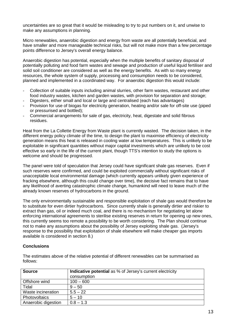uncertainties are so great that it would be misleading to try to put numbers on it, and unwise to make any assumptions in planning.

Micro renewables, anaerobic digestion and energy from waste are all potentially beneficial, and have smaller and more manageable technical risks, but will not make more than a few percentage points difference to Jersey's overall energy balance.

Anaerobic digestion has potential, especially when the multiple benefits of sanitary disposal of potentially polluting and food farm wastes and sewage and production of useful liquid fertiliser and solid soil conditioner are considered as well as the energy benefits. As with so many energy resources, the whole system of supply, processing and consumption needs to be considered, planned and implemented in a coordinated way. For anaerobic digestion this would include:

- Collection of suitable inputs including animal slurries, other farm wastes, restaurant and other food industry wastes, kitchen and garden wastes, with provision for separation and storage;
- Digesters, either small and local or large and centralised (each has advantages)
- Provision for use of biogas for electricity generation, heating and/or sale for off-site use (piped or pressurised and bottled);
- Commercial arrangements for sale of gas, electricity, heat, digestate and solid fibrous residues.

Heat from the La Collette Energy from Waste plant is currently wasted. The decision taken, in the different energy policy climate of the time, to design the plant to maximise efficiency of electricity generation means this heat is released in cooling water at low temperatures. This is unlikely to be exploitable in significant quantities without major capital investments which are unlikely to be cost effective so early in the life of the current plant, though TTS's intention to study the options is welcome and should be progressed.

The panel were told of speculation that Jersey could have significant shale gas reserves. Even if such reserves were confirmed, and could be exploited commercially without significant risks of unacceptable local environmental damage (which currently appears unlikely given experience of fracking elsewhere, although this could change over time), the decisive fact remains that to have any likelihood of averting catastrophic climate change, humankind will need to leave much of the already known reserves of hydrocarbons in the ground.

The only environmentally sustainable and responsible exploitation of shale gas would therefore be to substitute for even dirtier hydrocarbons. Since currently shale is generally dirtier and riskier to extract than gas, oil or indeed much coal, and there is no mechanism for negotiating let alone enforcing international agreements to sterilise existing reserves in return for opening up new ones, this currently seems too remote a possibility to be worth considering. The Plan should continue not to make any assumptions about the possibility of Jersey exploiting shale gas. (Jersey's response to the possibility that exploitation of shale elsewhere will make cheaper gas imports available is considered in section 8.)

#### **Conclusions**

The estimates above of the relative potential of different renewables can be summarised as follows:

| <b>Source</b>       | <b>Indicative potential</b> as % of Jersey's current electricity |
|---------------------|------------------------------------------------------------------|
|                     | consumption                                                      |
| Offshore wind       | $100 - 600$                                                      |
| Tidal               | $9 - 50$                                                         |
| Waste incineration  | $5.5 - 22$                                                       |
| Photovoltaics       | $5 - 10$                                                         |
| Anaerobic digestion | $0.8 - 1.3$                                                      |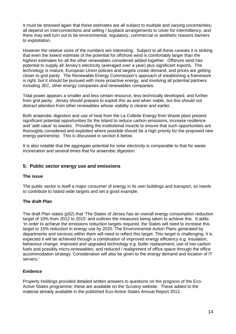It must be stressed again that these estimates are all subject to multiple and varying uncertainties, all depend on interconnections and selling / buyback arrangements to cover for intermittency, and there may well turn out to be environmental, regulatory, commercial or aesthetic reasons barriers to exploitation.

However the relative sizes of the numbers are interesting. Subject to all these caveats it is striking that even the lowest estimate of the potential for offshore wind is comfortably larger than the highest estimates for all the other renewables considered added together. Offshore wind has potential to supply all Jersey's electricity (averaged over a year) plus significant exports. The technology is mature, European Union policies and targets create demand, and prices are getting closer to grid parity. The Renewable Energy Commission's approach of establishing a framework is right, but it should be pursued with more proactive energy, and involving all potential partners including JEC, other energy companies and renewables companies.

Tidal power appears a smaller and less certain resource, less technically developed, and further from grid parity. Jersey should prepare to exploit this as and when viable, but this should not distract attention from other renewables whose viability is clearer and earlier.

Both anaerobic digestion and use of heat from the La Collette Energy from Waste plant present significant potential opportunities for the Island to reduce carbon emissions, increase resilience and 'add value' to wastes. Providing the institutional muscle to ensure that such opportunities are thoroughly considered and exploited where possible should be a high priority for the proposed new energy partnership. This is discussed in section 6 below.

It is also notable that the aggregate potential for solar electricity is comparable to that for waste incineration and several times that for anaerobic digestion.

#### **5: Public sector energy use and emissions**

#### **The issue**

The public sector is itself a major consumer of energy in its own buildings and transport, so needs to contribute to Island wide targets and set a good example.

#### **The draft Plan**

The draft Plan states (p52) that 'The States of Jersey has an overall energy consumption reduction target of 10% from 2012 to 2015' and outlines the measures being taken to achieve this. It adds: 'In order to achieve the emissions reduction targets required, the States will need to increase this target to 15% reduction in energy use by 2020. The Environmental Action Plans generated by departments and services within them will need to reflect this target. This target is challenging, it is expected it will be achieved through a combination of improved energy efficiency e.g. insulation, behaviour change; improved and upgraded technology e.g. boiler replacement, use of low carbon fuels and possibly micro-renewables; and reduced / realignment of office space through the office accommodation strategy. Consideration will also be given to the energy demand and location of IT servers.'

#### **Evidence**

Property Holdings provided detailed written answers to questions on the progress of the Eco-Active States programme: these are available on the Scrutiny website. These added to the material already available in the published Eco-Active States Annual Report 2012.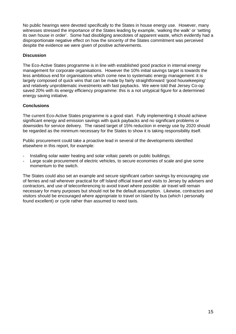No public hearings were devoted specifically to the States in house energy use. However, many witnesses stressed the importance of the States leading by example, 'walking the walk' or 'setting its own house in order'. Some had disobliging anecdotes of apparent waste, which evidently had a disproportionate negative effect on how the sincerity of the States commitment was perceived despite the evidence we were given of positive achievements.

#### **Discussion**

The Eco-Active States programme is in line with established good practice in internal energy management for corporate organisations. However the 10% initial savings target is towards the less ambitious end for organisations which come new to systematic energy management: it is largely composed of quick wins that can be made by fairly straightforward 'good housekeeping' and relatively unproblematic investments with fast paybacks. We were told that Jersey Co-op saved 20% with its energy efficiency programme: this is a not untypical figure for a determined energy saving initiative.

#### **Conclusions**

The current Eco-Active States programme is a good start. Fully implementing it should achieve significant energy and emission savings with quick paybacks and no significant problems or downsides for service delivery. The raised target of 15% reduction in energy use by 2020 should be regarded as the minimum necessary for the States to show it is taking responsibility itself.

Public procurement could take a proactive lead in several of the developments identified elsewhere in this report, for example:

- Installing solar water heating and solar voltaic panels on public buildings;
- Large scale procurement of electric vehicles, to secure economies of scale and give some momentum to the switch.

The States could also set an example and secure significant carbon savings by encouraging use of ferries and rail wherever practical for off Island official travel and visits to Jersey by advisers and contractors, and use of teleconferencing to avoid travel where possible: air travel will remain necessary for many purposes but should not be the default assumption. Likewise, contractors and visitors should be encouraged where appropriate to travel on Island by bus (which I personally found excellent) or cycle rather than assumed to need taxis.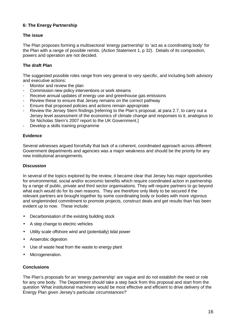#### **6: The Energy Partnership**

#### **The issue**

The Plan proposes forming a multisectoral 'energy partnership' to 'act as a coordinating body' for the Plan with a range of possible remits. (Action Statement 1, p 32). Details of its composition, powers and operation are not decided.

#### **The draft Plan**

The suggested possible roles range from very general to very specific, and including both advisory and executive actions:

- Monitor and review the plan
- Commission new policy interventions or work streams
- Receive annual updates of energy use and greenhouse gas emissions
- Review these to ensure that Jersey remains on the correct pathway
- Ensure that proposed policies and actions remain appropriate
- Review the Jersey Stern findings [referring to the Plan's proposal, at para 2.7, to carry out a Jersey level assessment of the economics of climate change and responses to it, analogous to Sir Nicholas Stern's 2007 report to the UK Government.]
- Develop a skills training programme

#### **Evidence**

Several witnesses argued forcefully that lack of a coherent, coordinated approach across different Government departments and agencies was a major weakness and should be the priority for any new institutional arrangements.

#### **Discussion**

In several of the topics explored by the review, it became clear that Jersey has major opportunities for environmental, social and/or economic benefits which require coordinated action in partnership by a range of public, private and third sector organisations. They will require partners to go beyond what each would do for its own reasons. They are therefore only likely to be secured if the relevant partners are brought together by some coordinating body or bodies with more vigorous and singleminded commitment to promote projects, construct deals and get results than has been evident up to now. These include:

- Decarbonisation of the existing building stock
- A step change to electric vehicles
- Utility scale offshore wind and (potentially) tidal power
- Anaerobic digestion
- Use of waste heat from the waste to energy plant
- Microgeneration.

#### **Conclusions**

The Plan's proposals for an 'energy partnership' are vague and do not establish the need or role for any one body. The Department should take a step back from this proposal and start from the question 'What institutional machinery would be most effective and efficient to drive delivery of the Energy Plan given Jersey's particular circumstances?'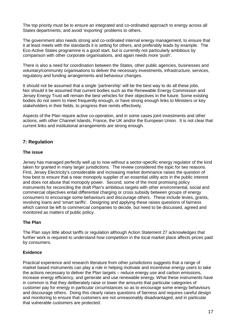The top priority must be to ensure an integrated and co-ordinated approach to energy across all States departments, and avoid 'exporting' problems to others.

The government also needs strong and co-ordinated internal energy management, to ensure that it at least meets with the standards it is setting for others, and preferably leads by example. The Eco-Active States programme is a good start, but is currently not particularly ambitious by comparison with other corporate organisations, and again needs more 'push'.

There is also a need for coordination between the States, other public agencies, businesses and voluntary/community organisations to deliver the necessary investments, infrastructure, services, regulatory and funding arrangements and behaviour changes.

It should not be assumed that a single 'partnership' will be the best way to do all these jobs. Nor should it be assumed that current bodies such as the Renewable Energy Commission and Jersey Energy Trust will remain the best vehicles for their objectives in the future. Some existing bodies do not seem to meet frequently enough, or have strong enough links to Ministers or key stakeholders in their fields, to progress their remits effectively.

Aspects of the Plan require active co-operation, and in some cases joint investments and other actions, with other Channel Islands, France, the UK and/or the European Union. It is not clear that current links and institutional arrangements are strong enough.

#### **7: Regulation**

#### **The issue**

Jersey has managed perfectly well up to now without a sector-specific energy regulator of the kind taken for granted in many larger jurisdictions. The review considered the topic for two reasons. First, Jersey Electricity's considerable and increasing market dominance raises the question of how best to ensure that a near monopoly supplier of an essential utility acts in the public interest and does not abuse that monopoly power. Second, some of the most promising policy instruments for reconciling the draft Plan's ambitious targets with other environmental, social and commercial objectives entail differential charging or cross subsidy between groups of energy consumers to encourage some behaviours and discourage others. These include levies, grants, revolving loans and 'smart tariffs'. Designing and applying these raises questions of fairness which cannot be left to commercial companies to decide, but need to be discussed, agreed and monitored as matters of public policy.

#### **The Plan**

The Plan says little about tariffs or regulation although Action Statement 27 acknowledges that further work is required to understand how competition in the local market place affects prices paid by consumers.

#### **Evidence**

Practical experience and research literature from other jurisdictions suggests that a range of market based instruments can play a role in helping motivate and incentivise energy users to take the actions necessary to deliver the Plan targets – reduce energy use and carbon emissions, increase energy efficiency, and generate and use renewable energy. What these instruments have in common is that they deliberately raise or lower the amounts that particular categories of customer pay for energy in particular circumstances so as to encourage some energy behaviours and discourage others. Doing this clearly raises questions of fairness and requires careful design and monitoring to ensure that customers are not unreasonably disadvantaged, and in particular that vulnerable customers are protected.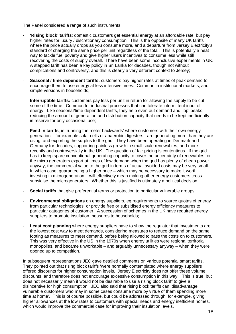The Panel considered a range of such instruments:

- **'Rising block' tariffs**: domestic customers get essential energy at an affordable rate, but pay higher rates for luxury / discretionary consumption. This is the opposite of many UK tariffs where the price actually drops as you consume more, and a departure from Jersey Electricity's standard of charging the same price per unit regardless of the total. This is potentially a neat way to tackle fuel poverty and give higher users incentives to consume less while still recovering the costs of supply overall. There have been some inconclusive experiments in UK. A stepped tariff has been a key policy in Sri Lanka for decades, though not without complications and controversy, and this is clearly a very different context to Jersey;
- **Seasonal / time dependent tariffs:** customers pay higher rates at times of peak demand to encourage them to use energy at less intensive times. Common in institutional markets, and simple versions in households;
- **Interruptible tariffs:** customers pay less per unit in return for allowing the supply to be cut some of the time. Common for industrial processes that can tolerate intermittent input of energy. Like seasonal/time dependent tariffs, they help even out demand and 'lop' peaks, reducing the amount of generation and distribution capacity that needs to be kept inefficiently in reserve for only occasional use;
- **Feed in tariffs**, ie 'running the meter backwards' where customers with their own energy generation – for example solar cells or anaerobic digesters - are generating more than they are using, and exporting the surplus to the grid. They have been operating in Denmark and Germany for decades, supporting painless growth in small scale renewables, and more recently and controversially in the UK. The question of fair pricing is contentious. If the grid has to keep spare conventional generating capacity to cover the uncertainty of renewables, or the micro generators export at times of low demand when the grid has plenty of cheap power anyway, the commercial value to the grid in terms of actual avoided costs may be very small. In which case, guaranteeing a higher price – which may be necessary to make it worth investing in microgeneration – will effectively mean making other energy customers crosssubsidise the microgenerators. Whether this is justified is ultimately a political decision.
- **Social tariffs** that give preferential terms or protection to particular vulnerable groups;
- **Environmental obligations** on energy suppliers, eg requirements to source quotas of energy from particular technologies, or provide free or subsidised energy efficiency measures to particular categories of customer. A succession of schemes in the UK have required energy suppliers to promote insulation measures to households:
- Least cost planning where energy suppliers have to show the regulator that investments are the lowest cost way to meet demands, considering measures to reduce demand on the same footing as measures to meet demand, before being allowed to pass the costs on to customers. This was very effective in the US in the 1970s when energy utilities were regional territorial monopolies, and became unworkable – and arguably unnecessary anyway – when they were opened up to competition.

In subsequent representations JEC gave detailed comments on various potential smart tariffs. They pointed out that rising block tariffs 'were normally contemplated where energy suppliers offered discounts for higher consumption levels. Jersey Electricity does not offer these volume discounts, and therefore does not encourage excessive consumption in this way.' This is true, but does not necessarily mean it would not be desirable to use a rising block tariff to give a disincentive for high consumption. JEC also said that rising block tariffs can 'disadvantage vulnerable customers who may in some cases consume more by virtue of them spending more time at home'. This is of course possible, but could be addressed through, for example, giving higher allowances at the low rates to customers with special needs and energy inefficient homes, which would improve the commercial case for improving their insulation levels.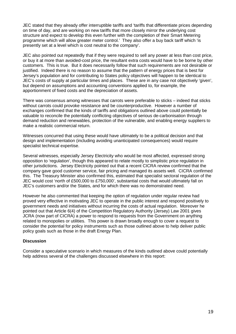JEC stated that they already offer interruptible tariffs and 'tariffs that differentiate prices depending on time of day, and are working on new tariffs that more closely mirror the underlying cost structure and expect to develop this even further with the completion of their Smart Metering programme which will allow greater meter control.' They also offer a buy back tariff which 'is presently set at a level which is cost neutral to the company'.

JEC also pointed out repeatedly that if they were required to sell any power at less than cost price, or buy it at more than avoided-cost price, the resultant extra costs would have to be borne by other customers. This is true. But it does necessarily follow that such requirements are not desirable or justified. Indeed there is no reason to assume that the pattern of energy prices that is best for Jersey's population and for contributing to States policy objectives will happen to be identical to JEC's costs of supply at particular times and places. These are in any case not objectively 'given', but depend on assumptions and accounting conventions applied to, for example, the apportionment of fixed costs and the depreciation of assets.

There was consensus among witnesses that carrots were preferable to sticks – indeed that sticks without carrots could provoke resistance and be counterproductive. However a number of exchanges confirmed that the kinds of tariffs and obligations outlined above could potentially be valuable to reconcile the potentially conflicting objectives of serious de-carbonisation through demand reduction and renewables, protection of the vulnerable, and enabling energy suppliers to make a realistic commercial return.

Witnesses concurred that using these would have ultimately to be a political decision and that design and implementation (including avoiding unanticipated consequences) would require specialist technical expertise.

Several witnesses, especially Jersey Electricity who would be most affected, expressed strong opposition to 'regulation', though this appeared to relate mostly to simplistic price regulation in other jurisdictions. Jersey Electricity pointed out that a recent CICRA review confirmed that the company gave good customer service, fair pricing and managed its assets well. CICRA confirmed this. The Treasury Minister also confirmed this, estimated that specialist sectoral regulation of the JEC would cost 'north of £500,000 to £750,000', substantial costs that would ultimately fall on JEC's customers and/or the States, and for which there was no demonstrated need.

However he also commented that keeping the option of regulation under regular review had proved very effective in motivating JEC to operate in the public interest and respond positively to government needs and initiatives without incurring the costs of actual regulation. Moreover he pointed out that Article 6(4) of the Competition Regulatory Authority (Jersey) Law 2001 gives JCRA (now part of CICRA) a power to respond to requests from the Government on anything related to monopolies or utilities. This power is drawn broadly enough to cover a request to consider the potential for policy instruments such as those outlined above to help deliver public policy goals such as those in the draft Energy Plan.

#### **Discussion**

Consider a speculative scenario in which measures of the kinds outlined above could potentially help address several of the challenges discussed elsewhere in this report: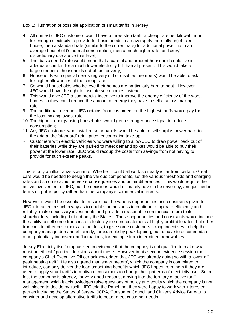Box 1: Illustration of possible application of smart tariffs in Jersey

- 4. All domestic JEC customers would have a three step tariff: a cheap rate per kilowatt hour for enough electricity to provide for basic needs in an averagely thermally (in)efficient house, then a standard rate (similar to the current rate) for additional power up to an average household's normal consumption; then a much higher rate for 'luxury' discretionary use above that level;
- 5. The 'basic needs' rate would mean that a careful and prudent household could live in adequate comfort for a much lower electricity bill than at present. This would take a large number of households out of fuel poverty;
- 6. Households with special needs (eg very old or disabled members) would be able to ask for higher allowances at the cheap rate:
- 7. So would households who believe their homes are particularly hard to heat. However JEC would have the right to insulate such homes instead;
- 8. This would give JEC a commercial incentive to improve the energy efficiency of the worst homes so they could reduce the amount of energy they have to sell at a loss making rate;
- 9. The additional revenues JEC obtains from customers on the highest tariffs would pay for the loss making lowest rate;
- 10. The highest energy using households would get a stronger price signal to reduce consumption;
- 11. Any JEC customer who installed solar panels would be able to sell surplus power back to the grid at the 'standard' retail price, encouraging take-up;
- Customers with electric vehicles who were willing to allow JEC to draw power back out of their batteries while they are parked to meet demand spikes would be able to buy their power at the lower rate. JEC would recoup the costs from savings from not having to provide for such extreme peaks.

This is only an illustrative scenario. Whether it could all work so neatly is far from certain. Great care would be needed to design the various components, set the various thresholds and charging rates and so on to avoid perverse consequences and unfair differences. This would require the active involvement of JEC, but the decisions would ultimately have to be driven by, and justified in terms of, public policy rather than the company's commercial interests.

However it would be essential to ensure that the various opportunities and constraints given to JEC interacted in such a way as to enable the business to continue to operate efficiently and reliably, make necessary investments and provide a reasonable commercial return to its shareholders, including but not only the States. These opportunities and constraints would include the ability to sell some tranches of electricity to some customers at highly profitable rates, but other tranches to other customers at a net loss; to give some customers strong incentives to help the company manage demand efficiently, for example by peak lopping, but to have to accommodate other potentially inconvenient fluctuations, for example from intermittent renewables.

Jersey Electricity itself emphasised in evidence that the company is not qualified to make what must be ethical / political decisions about these. However in his second evidence session the company's Chief Executive Officer acknowledged that JEC was already doing so with a lower offpeak heating tariff. He also agreed that 'smart meters', which the company is committed to introduce, can only deliver the load smoothing benefits which JEC hopes from them if they are used to apply smart tariffs to motivate consumers to change their patterns of electricity use. So in fact the company is already, for very good reasons, moving into the territory of active tariff management which it acknowledges raise questions of policy and equity which the company is not well placed to decide by itself. JEC told the Panel that they were happy to work with interested parties including the States of Jersey, JCRA, Consumer Council and Citizens Advice Bureau to consider and develop alternative tariffs to better meet customer needs.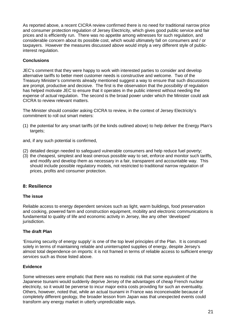As reported above, a recent CICRA review confirmed there is no need for traditional narrow price and consumer protection regulation of Jersey Electricity, which gives good public service and fair prices and is efficiently run. There was no appetite among witnesses for such regulation, and considerable concern about its possible cost, which would ultimately fall on consumers and / or taxpayers. However the measures discussed above would imply a very different style of publicinterest regulation.

#### **Conclusions**

JEC's comment that they were happy to work with interested parties to consider and develop alternative tariffs to better meet customer needs is constructive and welcome. Two of the Treasury Minister's comments already mentioned suggest a way to ensure that such discussions are prompt, productive and decisive. The first is the observation that the *possibility* of regulation has helped motivate JEC to ensure that it operates in the public interest without needing the expense of *actual* regulation. The second is the broad power under which the Minister could ask CICRA to review relevant matters.

The Minister should consider asking CICRA to review, in the context of Jersey Electricity's commitment to roll out smart meters:

(1) the potential for any smart tariffs (of the kinds outlined above) to help deliver the Energy Plan's targets;

and, if any such potential is confirmed,

- (2) detailed design needed to safeguard vulnerable consumers and help reduce fuel poverty;
- (3) the cheapest, simplest and least onerous possible way to set, enforce and monitor such tariffs, and modify and develop them as necessary in a fair, transparent and accountable way. This should include possible regulatory models, not restricted to traditional narrow regulation of prices, profits and consumer protection.

#### **8: Resilience**

#### **The issue**

Reliable access to energy dependent services such as light, warm buildings, food preservation and cooking, powered farm and construction equipment, mobility and electronic communications is fundamental to quality of life and economic activity in Jersey, like any other 'developed' jurisdiction.

#### **The draft Plan**

'Ensuring security of energy supply' is one of the top level principles of the Plan. It is construed solely in terms of maintaining reliable and uninterrupted supplies of energy, despite Jersey's almost total dependence on imports: it is not framed in terms of reliable access to sufficient energy services such as those listed above.

#### **Evidence**

Some witnesses were emphatic that there was no realistic risk that some equivalent of the Japanese tsunami would suddenly deprive Jersey of the advantages of cheap French nuclear electricity, so it would be perverse to incur major extra costs providing for such an eventuality. Others, however, noted that, while an actual tsunami in France was inconceivable because of completely different geology, the broader lesson from Japan was that unexpected events could transform any energy market in utterly unpredictable ways.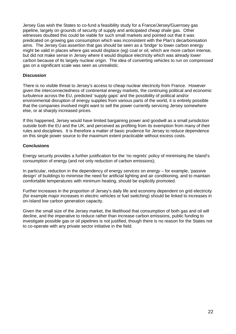Jersey Gas wish the States to co-fund a feasibility study for a France/Jersey/Guernsey gas pipeline, largely on grounds of security of supply and anticipated cheap shale gas. Other witnesses doubted this could be viable for such small markets and pointed out that it was predicated on growing gas consumption which was inconsistent with the Plan's decarbonisation aims. The Jersey Gas assertion that gas should be seen as a 'bridge' to lower carbon energy might be valid in places where gas would displace (eg) coal or oil, which are more carbon intense, but did not make sense in Jersey where it would displace electricity which was already lower carbon because of its largely nuclear origin. The idea of converting vehicles to run on compressed gas on a significant scale was seen as unrealistic.

#### **Discussion**

There is no visible threat to Jersey's access to cheap nuclear electricity from France. However given the interconnectedness of continental energy markets, the continuing political and economic turbulence across the EU, predicted 'supply gaps' and the possibility of political and/or environmental disruption of energy supplies from various parts of the world, it is entirely possible that the companies involved might want to sell the power currently servicing Jersey somewhere else, or at sharply increased prices.

If this happened, Jersey would have limited bargaining power and goodwill as a small jurisdiction outside both the EU and the UK, and perceived as profiting from its exemption from many of their rules and disciplines. It is therefore a matter of basic prudence for Jersey to reduce dependence on this single power source to the maximum extent practicable without excess costs.

#### **Conclusions**

Energy security provides a further justification for the 'no regrets' policy of minimising the Island's consumption of energy (and not only reduction of carbon emissions);

In particular, reduction in the dependency of energy services on energy – for example, 'passive design' of buildings to minimise the need for artificial lighting and air conditioning, and to maintain comfortable temperatures with minimum heating, should be explicitly promoted.

Further increases in the proportion of Jersey's daily life and economy dependent on grid electricity (for example major increases in electric vehicles or fuel switching) should be linked to increases in on-Island low carbon generation capacity.

Given the small size of the Jersey market, the likelihood that consumption of both gas and oil will decline, and the imperative to reduce rather than increase carbon emissions, public funding to investigate possible gas or oil pipelines is not justified, though there is no reason for the States not to co-operate with any private sector initiative in the field.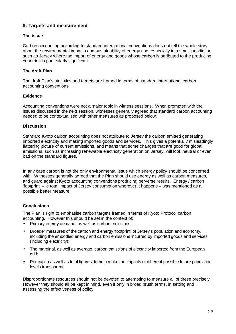#### **9: Targets and measurement**

#### **The issue**

Carbon accounting according to standard international conventions does not tell the whole story about the environmental impacts and sustainability of energy use, especially in a small jurisdiction such as Jersey where the import of energy and goods whose carbon is attributed to the producing countries is particularly significant.

#### **The draft Plan**

The draft Plan's statistics and targets are framed in terms of standard international carbon accounting conventions.

#### **Evidence**

Accounting conventions were not a major topic in witness sessions. When prompted with the issues discussed in the next session, witnesses generally agreed that standard carbon accounting needed to be contextualised with other measures as proposed below.

#### **Discussion**

Standard Kyoto carbon accounting does not attribute to Jersey the carbon emitted generating imported electricity and making imported goods and services. This gives a potentially misleadingly flattering picture of current emissions, and means that some changes that are good for global emissions, such as increasing renewable electricity generation on Jersey, will look neutral or even bad on the standard figures.

In any case carbon is not the only environmental issue which energy policy should be concerned with. Witnesses generally agreed that the Plan should use energy as well as carbon measures, and guard against Kyoto accounting conventions producing perverse results. Energy / carbon 'footprint' – ie total impact of Jersey consumption wherever it happens – was mentioned as a possible better measure.

#### **Conclusions**

The Plan is right to emphasise carbon targets framed in terms of Kyoto Protocol carbon accounting. However this should be set in the context of:

- Primary energy demand, as well as carbon emissions;
- Broader measures of the carbon and energy 'footprint' of Jersey's population and economy, including the embodied energy and carbon emissions incurred by imported goods and services (including electricity);
- The marginal, as well as average, carbon emissions of electricity imported from the European grid;
- Per capita as well as total figures, to help make the impacts of different possible future population levels transparent.

Disproportionate resources should not be devoted to attempting to measure all of these precisely. However they should all be kept in mind, even if only in broad brush terms, in setting and assessing the effectiveness of policy.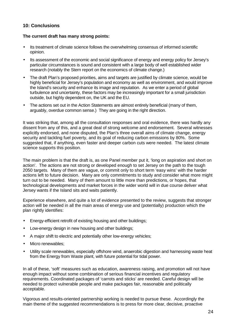#### **10: Conclusions**

#### **The current draft has many strong points:**

- Its treatment of climate science follows the overwhelming consensus of informed scientific opinion.
- Its assessment of the economic and social significance of energy and energy policy for Jersey's particular circumstances is sound and consistent with a large body of well established wider research (notably the Stern report on the economics of climate change.)
- The draft Plan's proposed priorities, aims and targets are justified by climate science, would be highly beneficial for Jersey's population and economy as well as environment, and would improve the Island's security and enhance its image and reputation. As we enter a period of global turbulence and uncertainty, these factors may be increasingly important for a small jurisdiction outside, but highly dependent on, the UK and the EU.
- The actions set out in the Action Statements are almost entirely beneficial (many of them, arguably, overdue common sense.) They are going in the right direction.

It was striking that, among all the consultation responses and oral evidence, there was hardly any dissent from any of this, and a great deal of strong welcome and endorsement. Several witnesses explicitly endorsed, and none disputed, the Plan's three overall aims of climate change, energy security and tackling fuel poverty, and its goal of reducing carbon emissions by 80%. Some suggested that, if anything, even faster and deeper carbon cuts were needed. The latest climate science supports this position.

The main problem is that the draft is, as one Panel member put it, 'long on aspiration and short on action'. The actions are not strong or developed enough to set Jersey on the path to the tough 2050 targets. Many of them are vague, or commit only to short term 'easy wins' with the harder actions left to future decision. Many are only commitments to study and consider what more might turn out to be needed. Many of them amount to little more than predictions, or hopes, that technological developments and market forces in the wider world will in due course deliver what Jersey wants if the Island sits and waits patiently.

Experience elsewhere, and quite a lot of evidence presented to the review, suggests that stronger action will be needed in all the main areas of energy use and (potentially) production which the plan rightly identifies:

- Energy-efficient retrofit of existing housing and other buildings:
- Low-energy design in new housing and other buildings;
- A major shift to electric and potentially other low-energy vehicles;
- Micro renewables:
- Utility scale renewables, especially offshore wind, anaerobic digestion and harnessing waste heat from the Energy from Waste plant, with future potential for tidal power.

In all of these, 'soft' measures such as education, awareness raising, and promotion will not have enough impact without some combination of serious financial incentives and regulatory requirements. Coordinated packages of 'carrots and sticks' are needed. Careful design will be needed to protect vulnerable people and make packages fair, reasonable and politically acceptable.

Vigorous and results-oriented partnership working is needed to pursue these. Accordingly the main theme of the suggested recommendations is to press for more clear, decisive, proactive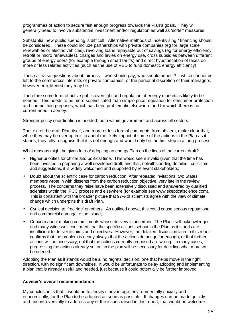programmes of action to secure fast enough progress towards the Plan's goals. They will generally need to involve substantial investment and/or regulation as well as 'softer' measures.

Substantial new public spending is difficult. Alternative methods of incentivising / financing should be considered. These could include partnerships with private companies (eg for large scale renewables or electric vehicles), revolving loans repayable out of savings (eg for energy efficiency retrofit or micro renewables), charges and levies on energy use, cross subsidies between different groups of energy users (for example through smart tariffs) and direct hypothecation of taxes on more or less related activities (such as the use of VED to fund domestic energy efficiency).

These all raise questions about fairness – who should pay, who should benefit? – which cannot be left to the commercial interests of private companies, or the personal discretion of their managers, however enlightened they may be.

Therefore some form of active public oversight and regulation of energy markets is likely to be needed. This needs to be more sophisticated than simple price regulation for consumer protection and competition purposes, which has been problematic elsewhere and for which there is no current need in Jersey.

Stronger policy coordination is needed, both within government and across all sectors.

The text of the draft Plan itself, and more or less formal comments from officers, make clear that, while they may be over optimistic about the likely impact of some of the actions in the Plan as it stands, they fully recognise that it is not enough and would only be the first step in a long process.

What reasons might be given for not adopting an energy Plan on the lines of the current draft?

- Higher priorities for officer and political time. This would seem invalid given that the time has been invested in preparing a well developed draft, and that, notwithstanding detailed criticisms and suggestions, it is widely welcomed and supported by relevant stakeholders;
- Doubt about the scientific case for carbon reduction. After repeated invitations, two States members wrote in with dissents from the carbon reduction objective, very late in the review process. The concerns they raise have been extensively discussed and answered by qualified scientists within the IPCC process and elsewhere (for example see www.skepticalscience.com). This is consistent with the broader picture that 97% of scientists agree with the view of climate change which underpins this draft Plan.
- Cynical decision to 'free ride' on others. As outlined above, this could cause serious reputational and commercial damage to the Island;
- Concern about making commitments whose delivery is uncertain. The Plan itself acknowledges, and many witnesses confirmed, that the specific actions set out in the Plan as it stands are insufficient to deliver its aims and objectives. However, the detailed discussion later in this report confirms that the problem is nearly always that the actions do not go far enough, or that further actions will be necessary, not that the actions currently proposed are wrong. In many cases, progressing the actions already set out in the plan will be necessary for deciding what more will be needed.

Adopting the Plan as it stands would be a 'no regrets' decision: one that helps move in the right direction, with no significant downsides. It would be unfortunate to delay adopting and implementing a plan that is already useful and needed, just because it could potentially be further improved.

#### **Adviser's overall recommendation**

My conclusion is that it would be to Jersey's advantage, environmentally socially and economically, for the Plan to be adopted as soon as possible. If changes can be made quickly and uncontroversially to address any of the issues raised in this report, that would be welcome.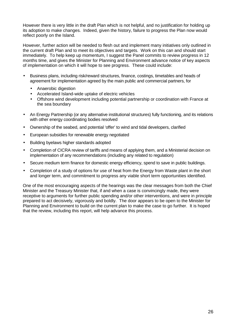However there is very little in the draft Plan which is not helpful, and no justification for holding up its adoption to make changes. Indeed, given the history, failure to progress the Plan now would reflect poorly on the Island.

However, further action will be needed to flesh out and implement many initiatives only outlined in the current draft Plan and to meet its objectives and targets. Work on this can and should start immediately. To help keep up momentum, I suggest the Panel commits to review progress in 12 months time, and gives the Minister for Planning and Environment advance notice of key aspects of implementation on which it will hope to see progress. These could include:

- Business plans, including risk/reward structures, finance, costings, timetables and heads of agreement for implementation agreed by the main public and commercial partners, for
	- Anaerobic digestion
	- Accelerated Island-wide uptake of electric vehicles
	- Offshore wind development including potential partnership or coordination with France at the sea boundary
- An Energy Partnership (or any alternative institutional structures) fully functioning, and its relations with other energy coordinating bodies resolved
- Ownership of the seabed, and potential 'offer' to wind and tidal developers, clarified
- European subsidies for renewable energy negotiated
- Building byelaws higher standards adopted
- Completion of CICRA review of tariffs and means of applying them, and a Ministerial decision on implementation of any recommendations (including any related to regulation)
- Secure medium term finance for domestic energy efficiency, spend to save in public buildings.
- Completion of a study of options for use of heat from the Energy from Waste plant in the short and longer term, and commitment to progress any viable short term opportunities identified.

One of the most encouraging aspects of the hearings was the clear messages from both the Chief Minister and the Treasury Minister that, if and when a case is convincingly made, they were receptive to arguments for further public spending and/or other interventions, and were in principle prepared to act decisively, vigorously and boldly. The door appears to be open to the Minister for Planning and Environment to build on the current plan to make the case to go further. It is hoped that the review, including this report, will help advance this process.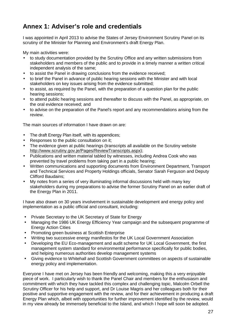# **Annex 1: Adviser's role and credentials**

I was appointed in April 2013 to advise the States of Jersey Environment Scrutiny Panel on its scrutiny of the Minister for Planning and Environment's draft Energy Plan.

My main activities were:

- to study documentation provided by the Scrutiny Office and any written submissions from stakeholders and members of the public and to provide in a timely manner a written critical independent analysis of the same;
- to assist the Panel in drawing conclusions from the evidence received;
- to brief the Panel in advance of public hearing sessions with the Minister and with local stakeholders on key issues arising from the evidence submitted;
- to assist, as required by the Panel, with the preparation of a question plan for the public hearing sessions;
- to attend public hearing sessions and thereafter to discuss with the Panel, as appropriate, on the oral evidence received; and
- to advise on the preparation of the Panel's report and any recommendations arising from the review.

The main sources of information I have drawn on are:

- The draft Energy Plan itself, with its appendices;
- Responses to the public consultation on it;
- The evidence given at public hearings (transcripts all available on the Scrutiny website http://www.scrutiny.gov.je/Pages/ReviewTranscripts.aspx);
- Publications and written material tabled by witnesses, including Andrea Cook who was prevented by travel problems from taking part in a public hearing;
- Written communications and supporting documents from Environment Department, Transport and Technical Services and Property Holdings officials, Senator Sarah Ferguson and Deputy Clifford Baudains;
- My notes from a series of very illuminating informal discussions held with many key stakeholders during my preparations to advise the former Scrutiny Panel on an earlier draft of the Energy Plan in 2011.

I have also drawn on 30 years involvement in sustainable development and energy policy and implementation as a public official and consultant, including:

- Private Secretary to the UK Secretary of State for Energy
- Managing the 1986 UK Energy Efficiency Year campaign and the subsequent programme of Energy Action Cities
- Promoting green business at Scottish Enterprise
- Writing two successive energy manifestos for the UK Local Government Association
- Developing the EU Eco-management and audit scheme for UK Local Government, the first management system standard for environmental performance specifically for public bodies, and helping numerous authorities develop management systems
- Giving evidence to Whitehall and Scottish Government committees on aspects of sustainable energy policy and implementation.

Everyone I have met on Jersey has been friendly and welcoming, making this a very enjoyable piece of work. I particularly wish to thank the Panel Chair and members for the enthusiasm and commitment with which they have tackled this complex and challenging topic, Malcolm Orbell the Scrutiny Officer for his help and support, and Dr Louise Magris and her colleagues both for their positive and supportive engagement with the review, and for their achievement in producing a draft Energy Plan which, albeit with opportunities for further improvement identified by the review, would in my view already be immensely beneficial to the Island, and which I hope will soon be adopted.